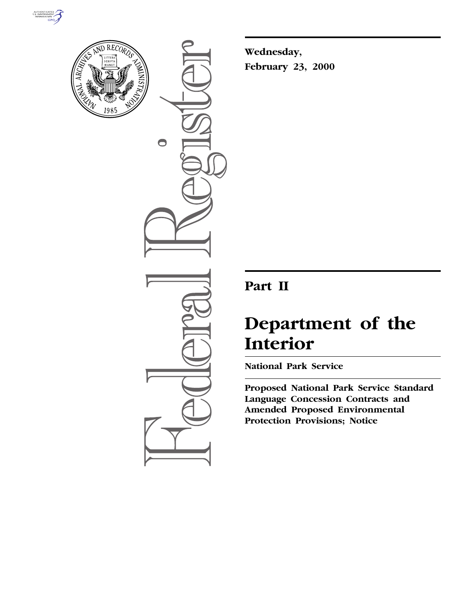



 $\bigcirc$ 

**Wednesday, February 23, 2000**

# **Part II**

# **Department of the Interior**

**National Park Service**

**Proposed National Park Service Standard Language Concession Contracts and Amended Proposed Environmental Protection Provisions; Notice**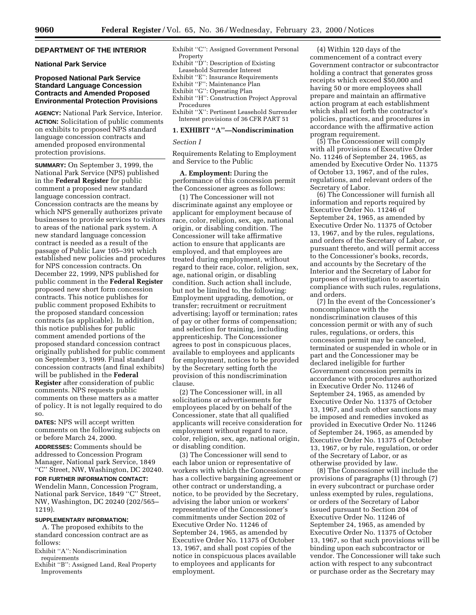# **DEPARTMENT OF THE INTERIOR**

# **National Park Service**

# **Proposed National Park Service Standard Language Concession Contracts and Amended Proposed Environmental Protection Provisions**

**AGENCY:** National Park Service, Interior. **ACTION:** Solicitation of public comments on exhibits to proposed NPS standard language concession contracts and amended proposed environmental protection provisions.

**SUMMARY:** On September 3, 1999, the National Park Service (NPS) published in the **Federal Register** for public comment a proposed new standard language concession contract. Concession contracts are the means by which NPS generally authorizes private businesses to provide services to visitors to areas of the national park system. A new standard language concession contract is needed as a result of the passage of Public Law 105–391 which established new policies and procedures for NPS concession contracts. On December 22, 1999, NPS published for public comment in the **Federal Register** proposed new short form concession contracts. This notice publishes for public comment proposed Exhibits to the proposed standard concession contracts (as applicable). In addition, this notice publishes for public comment amended portions of the proposed standard concession contract originally published for public comment on September 3, 1999. Final standard concession contracts (and final exhibits) will be published in the **Federal Register** after consideration of public comments. NPS requests public comments on these matters as a matter of policy. It is not legally required to do so.

**DATES:** NPS will accept written comments on the following subjects on or before March 24, 2000.

**ADDRESSES:** Comments should be addressed to Concession Program Manager, National park Service, 1849 ''C'' Street, NW, Washington, DC 20240.

**FOR FURTHER INFORMATION CONTACT:** Wendelin Mann, Concession Program, National park Service, 1849 ''C'' Street, NW, Washington, DC 20240 (202/565– 1219).

# **SUPPLEMENTARY INFORMATION:**

A. The proposed exhibits to the standard concession contract are as follows:

Exhibit ''A'': Nondiscrimination requirements

Exhibit ''B'': Assigned Land, Real Property Improvements

- Exhibit ''C'': Assigned Government Personal Property
- Exhibit ''D'': Description of Existing
- Leasehold Surrender Interest
- Exhibit ''E'': Insurance Requirements
- Exhibit ''F'': Maintenance Plan
- Exhibit "G": Operating Plan
- Exhibit "H": Construction Project Approval Procedures
- Exhibit ''X'': Pertinent Leasehold Surrender Interest provisions of 36 CFR PART 51

# **1. EXHIBIT ''A''—Nondiscrimination**

#### *Section I*

Requirements Relating to Employment and Service to the Public

**A. Employment:** During the performance of this concession permit the Concessioner agrees as follows:

(1) The Concessioner will not discriminate against any employee or applicant for employment because of race, color, religion, sex, age, national origin, or disabling condition. The Concessioner will take affirmative action to ensure that applicants are employed, and that employees are treated during employment, without regard to their race, color, religion, sex, age, national origin, or disabling condition. Such action shall include, but not be limited to, the following: Employment upgrading, demotion, or transfer; recruitment or recruitment advertising; layoff or termination; rates of pay or other forms of compensation; and selection for training, including apprenticeship. The Concessioner agrees to post in conspicuous places, available to employees and applicants for employment, notices to be provided by the Secretary setting forth the provision of this nondiscrimination clause.

(2) The Concessioner will, in all solicitations or advertisements for employees placed by on behalf of the Concessioner, state that all qualified applicants will receive consideration for employment without regard to race, color, religion, sex, age, national origin, or disabling condition.

(3) The Concessioner will send to each labor union or representative of workers with which the Concessioner has a collective bargaining agreement or other contract or understanding, a notice, to be provided by the Secretary, advising the labor union or workers' representative of the Concessioner's commitments under Section 202 of Executive Order No. 11246 of September 24, 1965, as amended by Executive Order No. 11375 of October 13, 1967, and shall post copies of the notice in conspicuous places available to employees and applicants for employment.

(4) Within 120 days of the commencement of a contract every Government contractor or subcontractor holding a contract that generates gross receipts which exceed \$50,000 and having 50 or more employees shall prepare and maintain an affirmative action program at each establishment which shall set forth the contractor's policies, practices, and procedures in accordance with the affirmative action program requirement.

(5) The Concessioner will comply with all provisions of Executive Order No. 11246 of September 24, 1965, as amended by Executive Order No. 11375 of October 13, 1967, and of the rules, regulations, and relevant orders of the Secretary of Labor.

(6) The Concessioner will furnish all information and reports required by Executive Order No. 11246 of September 24, 1965, as amended by Executive Order No. 11375 of October 13, 1967, and by the rules, regulations, and orders of the Secretary of Labor, or pursuant thereto, and will permit access to the Concessioner's books, records, and accounts by the Secretary of the Interior and the Secretary of Labor for purposes of investigation to ascertain compliance with such rules, regulations, and orders.

(7) In the event of the Concessioner's noncompliance with the nondiscrimination clauses of this concession permit or with any of such rules, regulations, or orders, this concession permit may be canceled, terminated or suspended in whole or in part and the Concessioner may be declared ineligible for further Government concession permits in accordance with procedures authorized in Executive Order No. 11246 of September 24, 1965, as amended by Executive Order No. 11375 of October 13, 1967, and such other sanctions may be imposed and remedies invoked as provided in Executive Order No. 11246 of September 24, 1965, as amended by Executive Order No. 11375 of October 13, 1967, or by rule, regulation, or order of the Secretary of Labor, or as otherwise provided by law.

(8) The Concessioner will include the provisions of paragraphs (1) through (7) in every subcontract or purchase order unless exempted by rules, regulations, or orders of the Secretary of Labor issued pursuant to Section 204 of Executive Order No. 11246 of September 24, 1965, as amended by Executive Order No. 11375 of October 13, 1967, so that such provisions will be binding upon each subcontractor or vendor. The Concessioner will take such action with respect to any subcontract or purchase order as the Secretary may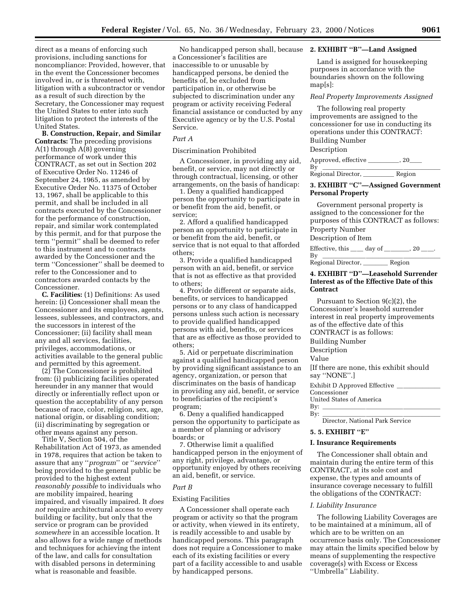direct as a means of enforcing such provisions, including sanctions for noncompliance: Provided, however, that in the event the Concessioner becomes involved in, or is threatened with, litigation with a subcontractor or vendor as a result of such direction by the Secretary, the Concessioner may request the United States to enter into such litigation to protect the interests of the United States.

**B. Construction, Repair, and Similar Contracts:** The preceding provisions A(1) through A(8) governing performance of work under this CONTRACT, as set out in Section 202 of Executive Order No. 11246 of September 24, 1965, as amended by Executive Order No. 11375 of October 13, 1967, shall be applicable to this permit, and shall be included in all contracts executed by the Concessioner for the performance of construction, repair, and similar work contemplated by this permit, and for that purpose the term ''permit'' shall be deemed to refer to this instrument and to contracts awarded by the Concessioner and the term ''Concessioner'' shall be deemed to refer to the Concessioner and to contractors awarded contacts by the Concessioner.

**C. Facilities:** (1) Definitions: As used herein: (i) Concessioner shall mean the Concessioner and its employees, agents, lessees, sublessees, and contractors, and the successors in interest of the Concessioner; (ii) facility shall mean any and all services, facilities, privileges, accommodations, or activities available to the general public and permitted by this agreement.

(2) The Concessioner is prohibited from: (i) publicizing facilities operated hereunder in any manner that would directly or inferentially reflect upon or question the acceptability of any person because of race, color, religion, sex, age, national origin, or disabling condition; (ii) discriminating by segregation or other means against any person.

Title V, Section 504, of the Rehabilitation Act of 1973, as amended in 1978, requires that action be taken to assure that any ''*program*'' or ''*service*'' being provided to the general public be provided to the highest extent *reasonably possible* to individuals who are mobility impaired, hearing impaired, and visually impaired. It *does not* require architectural access to every building or facility, but only that the service or program can be provided *somewhere* in an accessible location. It also allows for a wide range of methods and techniques for achieving the intent of the law, and calls for consultation with disabled persons in determining what is reasonable and feasible.

No handicapped person shall, because **2. EXHIBIT ''B''—Land Assigned** a Concessioner's facilities are inaccessible to or unusable by handicapped persons, be denied the benefits of, be excluded from participation in, or otherwise be subjected to discrimination under any program or activity receiving Federal financial assistance or conducted by any Executive agency or by the U.S. Postal Service.

# *Part A*

Discrimination Prohibited

A Concessioner, in providing any aid, benefit, or service, may not directly or through contractual, licensing, or other arrangements, on the basis of handicap:

1. Deny a qualified handicapped person the opportunity to participate in or benefit from the aid, benefit, or service;

2. Afford a qualified handicapped person an opportunity to participate in or benefit from the aid, benefit, or service that is not equal to that afforded others;

3. Provide a qualified handicapped person with an aid, benefit, or service that is not as effective as that provided to others;

4. Provide different or separate aids, benefits, or services to handicapped persons or to any class of handicapped persons unless such action is necessary to provide qualified handicapped persons with aid, benefits, or services that are as effective as those provided to others;

5. Aid or perpetuate discrimination against a qualified handicapped person by providing significant assistance to an agency, organization, or person that discriminates on the basis of handicap in providing any aid, benefit, or service to beneficiaries of the recipient's program;

6. Deny a qualified handicapped person the opportunity to participate as a member of planning or advisory boards; or

7. Otherwise limit a qualified handicapped person in the enjoyment of any right, privilege, advantage, or opportunity enjoyed by others receiving an aid, benefit, or service.

# *Part B*

# Existing Facilities

A Concessioner shall operate each program or activity so that the program or activity, when viewed in its entirety, is readily accessible to and usable by handicapped persons. This paragraph does not require a Concessioner to make each of its existing facilities or every part of a facility accessible to and usable by handicapped persons.

Land is assigned for housekeeping purposes in accordance with the boundaries shown on the following map[s]:

#### *Real Property Improvements Assigned*

The following real property improvements are assigned to the concessioner for use in conducting its operations under this CONTRACT: Building Number

Description

Approved, effective \_\_\_\_\_\_\_\_\_, 20\_\_\_\_  $\overline{\mathrm{By}}$   $\overline{\phantom{AB}}$ 

Regional Director, \_\_\_\_\_\_\_\_\_\_\_\_ Region

# **3. EXHIBIT ''C''—Assigned Government Personal Property**

Government personal property is assigned to the concessioner for the purposes of this CONTRACT as follows: Property Number

Description of Item

Effective, this  $\_\_\_$  day of  $\_\_\_\_$ , 20  $\_\_\_\$ .

By lllllllllllllllllll Regional Director, \_\_\_\_\_\_\_\_ Region

# **4. EXHIBIT ''D''—Leasehold Surrender Interest as of the Effective Date of this Contract**

Pursuant to Section 9(c)(2), the Concessioner's leasehold surrender interest in real property improvements as of the effective date of this CONTRACT is as follows: Building Number Description Value [If there are none, this exhibit should say ''NONE''.] Exhibit D Approved Effective Concessioner United States of America By:  $\lbrack$ 

By: lllllllllllllllllll

Director, National Park Service

# **5. 5. EXHIBIT ''E''**

#### **I. Insurance Requirements**

The Concessioner shall obtain and maintain during the entire term of this CONTRACT, at its sole cost and expense, the types and amounts of insurance coverage necessary to fulfill the obligations of the CONTRACT:

#### *I. Liability Insurance*

The following Liability Coverages are to be maintained at a minimum, all of which are to be written on an occurrence basis only. The Concessioner may attain the limits specified below by means of supplementing the respective coverage(s) with Excess or Excess ''Umbrella'' Liability.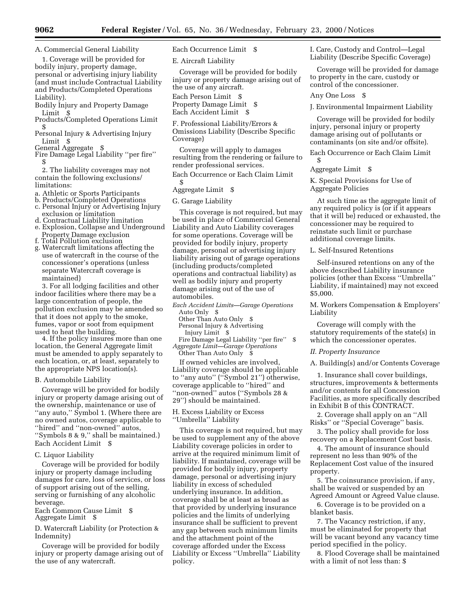A. Commercial General Liability

1. Coverage will be provided for bodily injury, property damage, personal or advertising injury liability (and must include Contractual Liability and Products/Completed Operations Liability).

Bodily Injury and Property Damage Limit \$

Products/Completed Operations Limit \$

Personal Injury & Advertising Injury Limit \$

General Aggregate \$

Fire Damage Legal Liability "per fire" \$

2. The liability coverages may not contain the following exclusions/ limitations:

- a. Athletic or Sports Participants
- b. Products/Completed Operations
- c. Personal Injury or Advertising Injury exclusion or limitation
- d. Contractual Liability limitation e. Explosion, Collapse and Underground
- 
- Property Damage exclusion f. Total Pollution exclusion
- g. Watercraft limitations affecting the use of watercraft in the course of the concessioner's operations (unless separate Watercraft coverage is maintained)

3. For all lodging facilities and other indoor facilities where there may be a large concentration of people, the pollution exclusion may be amended so that it does not apply to the smoke, fumes, vapor or soot from equipment<br>used to heat the building.

4. If the policy insures more than one location, the General Aggregate limit must be amended to apply separately to each location, or, at least, separately to the appropriate NPS location(s).

#### B. Automobile Liability

Coverage will be provided for bodily injury or property damage arising out of the ownership, maintenance or use of ''any auto,'' Symbol 1. (Where there are no owned autos, coverage applicable to ''hired'' and ''non-owned'' autos, ''Symbols 8 & 9,'' shall be maintained.) Each Accident Limit \$

# C. Liquor Liability

Coverage will be provided for bodily injury or property damage including damages for care, loss of services, or loss of support arising out of the selling, serving or furnishing of any alcoholic beverage.

Each Common Cause Limit \$ Aggregate Limit \$

D. Watercraft Liability (or Protection & Indemnity)

Coverage will be provided for bodily injury or property damage arising out of the use of any watercraft.

Each Occurrence Limit \$

E. Aircraft Liability

Coverage will be provided for bodily injury or property damage arising out of the use of any aircraft.

Each Person Limit \$

Property Damage Limit \$ Each Accident Limit \$

F. Professional Liability/Errors & Omissions Liability (Describe Specific Coverage)

Coverage will apply to damages resulting from the rendering or failure to render professional services.

Each Occurrence or Each Claim Limit \$

Aggregate Limit \$

G. Garage Liability

This coverage is not required, but may be used in place of Commercial General Liability and Auto Liability coverages for some operations. Coverage will be provided for bodily injury, property damage, personal or advertising injury liability arising out of garage operations (including products/completed operations and contractual liability) as well as bodily injury and property damage arising out of the use of automobiles.

- *Each Accident Limits—Garage Operations* Auto Only \$
	- Other Than Auto Only \$
	- Personal Injury & Advertising Injury Limit \$
- Fire Damage Legal Liability ''per fire'' \$ *Aggregate Limit—Garage Operations*

Other Than Auto Only \$

If owned vehicles are involved, Liability coverage should be applicable to ''any auto'' (''Symbol 21'') otherwise, coverage applicable to ''hired'' and ''non-owned'' autos (''Symbols 28 & 29'') should be maintained.

H. Excess Liability or Excess ''Umbrella'' Liability

This coverage is not required, but may be used to supplement any of the above Liability coverage policies in order to arrive at the required minimum limit of liability. If maintained, coverage will be provided for bodily injury, property damage, personal or advertising injury liability in excess of scheduled underlying insurance. In addition, coverage shall be at least as broad as that provided by underlying insurance policies and the limits of underlying insurance shall be sufficient to prevent any gap between such minimum limits and the attachment point of the coverage afforded under the Excess Liability or Excess ''Umbrella'' Liability policy.

I. Care, Custody and Control—Legal Liability (Describe Specific Coverage)

Coverage will be provided for damage to property in the care, custody or control of the concessioner.

Any One Loss \$

J. Environmental Impairment Liability

Coverage will be provided for bodily injury, personal injury or property damage arising out of pollutants or contaminants (on site and/or offsite).

Each Occurrence or Each Claim Limit \$

Aggregate Limit \$

K. Special Provisions for Use of Aggregate Policies

At such time as the aggregate limit of any required policy is (or if it appears that it will be) reduced or exhausted, the concessioner may be required to reinstate such limit or purchase additional coverage limits.

L. Self-Insured Retentions

Self-insured retentions on any of the above described Liability insurance policies (other than Excess ''Umbrella'' Liability, if maintained) may not exceed \$5,000.

M. Workers Compensation & Employers' Liability

Coverage will comply with the statutory requirements of the state(s) in which the concessioner operates.

*II. Property Insurance*

A. Building(s) and/or Contents Coverage

1. Insurance shall cover buildings, structures, improvements & betterments and/or contents for all Concession Facilities, as more specifically described in Exhibit B of this CONTRACT.

2. Coverage shall apply on an ''All Risks'' or ''Special Coverage'' basis.

3. The policy shall provide for loss recovery on a Replacement Cost basis.

4. The amount of insurance should represent no less than 90% of the Replacement Cost value of the insured property.

5. The coinsurance provision, if any, shall be waived or suspended by an Agreed Amount or Agreed Value clause.

6. Coverage is to be provided on a blanket basis.

7. The Vacancy restriction, if any, must be eliminated for property that will be vacant beyond any vacancy time period specified in the policy.

8. Flood Coverage shall be maintained with a limit of not less than: \$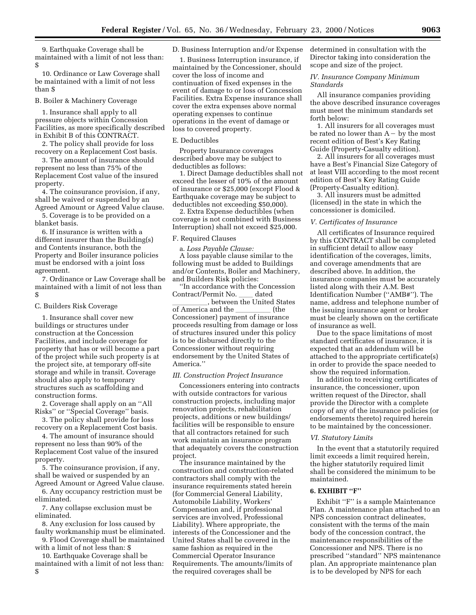9. Earthquake Coverage shall be maintained with a limit of not less than: \$

10. Ordinance or Law Coverage shall be maintained with a limit of not less than \$

#### B. Boiler & Machinery Coverage

1. Insurance shall apply to all pressure objects within Concession Facilities, as more specifically described in Exhibit B of this CONTRACT.

2. The policy shall provide for loss recovery on a Replacement Cost basis.

3. The amount of insurance should represent no less than 75% of the Replacement Cost value of the insured property.

4. The coinsurance provision, if any, shall be waived or suspended by an Agreed Amount or Agreed Value clause.

5. Coverage is to be provided on a blanket basis.

6. If insurance is written with a different insurer than the Building(s) and Contents insurance, both the Property and Boiler insurance policies must be endorsed with a joint loss agreement.

7. Ordinance or Law Coverage shall be maintained with a limit of not less than \$

#### C. Builders Risk Coverage

1. Insurance shall cover new buildings or structures under construction at the Concession Facilities, and include coverage for property that has or will become a part of the project while such property is at the project site, at temporary off-site storage and while in transit. Coverage should also apply to temporary structures such as scaffolding and construction forms.

2. Coverage shall apply on an ''All Risks'' or ''Special Coverage'' basis.

3. The policy shall provide for loss recovery on a Replacement Cost basis.

4. The amount of insurance should represent no less than 90% of the Replacement Cost value of the insured property.

5. The coinsurance provision, if any, shall be waived or suspended by an Agreed Amount or Agreed Value clause.

6. Any occupancy restriction must be eliminated.

7. Any collapse exclusion must be eliminated.

8. Any exclusion for loss caused by faulty workmanship must be eliminated. 9. Flood Coverage shall be maintained

with a limit of not less than: \$

10. Earthquake Coverage shall be maintained with a limit of not less than: \$

D. Business Interruption and/or Expense

1. Business Interruption insurance, if maintained by the Concessioner, should cover the loss of income and continuation of fixed expenses in the event of damage to or loss of Concession Facilities. Extra Expense insurance shall cover the extra expenses above normal operating expenses to continue operations in the event of damage or loss to covered property.

#### E. Deductibles

Property Insurance coverages described above may be subject to deductibles as follows:

1. Direct Damage deductibles shall not exceed the lesser of 10% of the amount of insurance or \$25,000 (except Flood & Earthquake coverage may be subject to deductibles not exceeding \$50,000).

2. Extra Expense deductibles (when coverage is not combined with Business Interruption) shall not exceed \$25,000.

#### F. Required Clauses

a. *Loss Payable Clause:*

A loss payable clause similar to the following must be added to Buildings and/or Contents, Boiler and Machinery, and Builders Risk policies:

''In accordance with the Concession Contract/Permit No. \_\_\_\_ dated

, between the United States of America and the \_\_\_\_\_\_\_\_\_\_\_ (the Concessioner) payment of insurance proceeds resulting from damage or loss of structures insured under this policy is to be disbursed directly to the Concessioner without requiring endorsement by the United States of America.''

# *III. Construction Project Insurance*

Concessioners entering into contracts with outside contractors for various construction projects, including major renovation projects, rehabilitation projects, additions or new buildings/ facilities will be responsible to ensure that all contractors retained for such work maintain an insurance program that adequately covers the construction project.

The insurance maintained by the construction and construction-related contractors shall comply with the insurance requirements stated herein (for Commercial General Liability, Automobile Liability, Workers' Compensation and, if professional services are involved, Professional Liability). Where appropriate, the interests of the Concessioner and the United States shall be covered in the same fashion as required in the Commercial Operator Insurance Requirements. The amounts/limits of the required coverages shall be

determined in consultation with the Director taking into consideration the scope and size of the project.

# *IV. Insurance Company Minimum Standards*

All insurance companies providing the above described insurance coverages must meet the minimum standards set forth below:

1. All insurers for all coverages must be rated no lower than  $A - by$  the most recent edition of Best's Key Rating Guide (Property-Casualty edition).

2. All insurers for all coverages must have a Best's Financial Size Category of at least VIII according to the most recent edition of Best's Key Rating Guide (Property-Casualty edition).

3. All insurers must be admitted (licensed) in the state in which the concessioner is domiciled.

#### *V. Certificates of Insurance*

All certificates of Insurance required by this CONTRACT shall be completed in sufficient detail to allow easy identification of the coverages, limits, and coverage amendments that are described above. In addition, the insurance companies must be accurately listed along with their A.M. Best Identification Number (''AMB#''). The name, address and telephone number of the issuing insurance agent or broker must be clearly shown on the certificate of insurance as well.

Due to the space limitations of most standard certificates of insurance, it is expected that an addendum will be attached to the appropriate certificate(s) in order to provide the space needed to show the required information.

In addition to receiving certificates of insurance, the concessioner, upon written request of the Director, shall provide the Director with a complete copy of any of the insurance policies (or endorsements thereto) required herein to be maintained by the concessioner.

#### *VI. Statutory Limits*

In the event that a statutorily required limit exceeds a limit required herein, the higher statutorily required limit shall be considered the minimum to be maintained.

# **6. EXHIBIT ''F''**

Exhibit "F" is a sample Maintenance Plan. A maintenance plan attached to an NPS concession contract delineates, consistent with the terms of the main body of the concession contract, the maintenance responsibilities of the Concessioner and NPS. There is no prescribed ''standard'' NPS maintenance plan. An appropriate maintenance plan is to be developed by NPS for each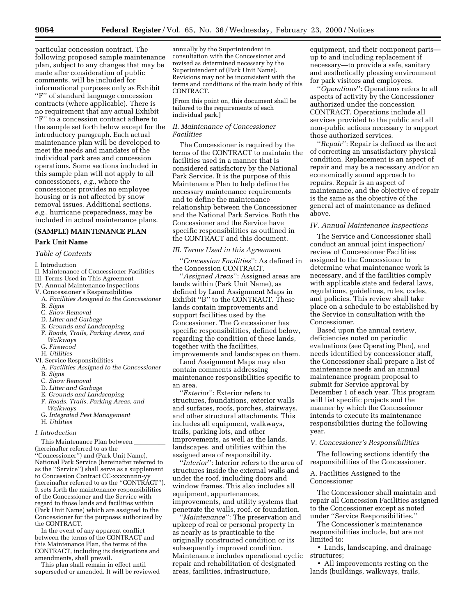particular concession contract. The following proposed sample maintenance plan, subject to any changes that may be made after consideration of public comments, will be included for informational purposes only as Exhibit ''F'' of standard language concession contracts (where applicable). There is no requirement that any actual Exhibit ''F'' to a concession contract adhere to the sample set forth below except for the introductory paragraph. Each actual maintenance plan will be developed to meet the needs and mandates of the individual park area and concession operations. Some sections included in this sample plan will not apply to all concessioners, *e.g.,* where the concessioner provides no employee housing or is not affected by snow removal issues. Additional sections, *e.g.,* hurricane preparedness, may be included in actual maintenance plans.

# **(SAMPLE) MAINTENANCE PLAN**

# **Park Unit Name**

*Table of Contents*

#### I. Introduction

- II. Maintenance of Concessioner Facilities
- III. Terms Used in This Agreement
- IV. Annual Maintenance Inspections
- V. Concessioner's Responsibilities
- A. *Facilities Assigned to the Concessioner* B. *Signs*
- C. *Snow Removal*
- D. *Litter and Garbage*
- E. *Grounds and Landscaping*
- F. *Roads, Trails, Parking Areas, and*
- *Walkways*
- G. *Firewood*
- H. *Utilities*
- VI. Service Responsibilities
- A. *Facilities Assigned to the Concessioner* B. *Signs*
- C. *Snow Removal*
- D. *Litter and Garbage*
- E. *Grounds and Landscaping*
- F. *Roads, Trails, Parking Areas, and Walkways*
- G. *Integrated Pest Management*
- H. *Utilities*

#### *I. Introduction*

This Maintenance Plan between (hereinafter referred to as the ''Concessioner'') and (Park Unit Name), National Park Service (hereinafter referred to as the ''Service'') shall serve as a supplement to Concession Contract CC-xxxxnnnn-yy (hereinafter referred to as the ''CONTRACT''). It sets forth the maintenance responsibilities of the Concessioner and the Service with regard to those lands and facilities within

(Park Unit Name) which are assigned to the Concessioner for the purposes authorized by the CONTRACT. In the event of any apparent conflict

between the terms of the CONTRACT and this Maintenance Plan, the terms of the CONTRACT, including its designations and amendments, shall prevail.

This plan shall remain in effect until superseded or amended. It will be reviewed

annually by the Superintendent in consultation with the Concessioner and revised as determined necessary by the Superintendent of (Park Unit Name). Revisions may not be inconsistent with the terms and conditions of the main body of this CONTRACT.

[From this point on, this document shall be tailored to the requirements of each individual park.]

# *II. Maintenance of Concessioner Facilities*

The Concessioner is required by the terms of the CONTRACT to maintain the facilities used in a manner that is considered satisfactory by the National Park Service. It is the purpose of this Maintenance Plan to help define the necessary maintenance requirements and to define the maintenance relationship between the Concessioner and the National Park Service. Both the Concessioner and the Service have specific responsibilities as outlined in the CONTRACT and this document.

#### *III. Terms Used in this Agreement*

''*Concession Facilities*'': As defined in the Concession CONTRACT.

''*Assigned Areas*'': Assigned areas are lands within (Park Unit Name), as defined by Land Assignment Maps in Exhibit "B" to the CONTRACT. These lands contain improvements and support facilities used by the Concessioner. The Concessioner has specific responsibilities, defined below, regarding the condition of these lands, together with the facilities, improvements and landscapes on them.

Land Assignment Maps may also contain comments addressing maintenance responsibilities specific to an area.

''*Exterior*'': Exterior refers to structures, foundations, exterior walls and surfaces, roofs, porches, stairways, and other structural attachments. This includes all equipment, walkways, trails, parking lots, and other improvements, as well as the lands, landscapes, and utilities within the assigned area of responsibility.

''*Interior*'': Interior refers to the area of structures inside the external walls and under the roof, including doors and window frames. This also includes all equipment, appurtenances, improvements, and utility systems that penetrate the walls, roof, or foundation.

''*Maintenance*'': The preservation and upkeep of real or personal property in as nearly as is practicable to the originally constructed condition or its subsequently improved condition. Maintenance includes operational cyclic repair and rehabilitation of designated areas, facilities, infrastructure,

equipment, and their component parts up to and including replacement if necessary—to provide a safe, sanitary and aesthetically pleasing environment for park visitors and employees.

''*Operations*'': Operations refers to all aspects of activity by the Concessioner authorized under the concession CONTRACT. Operations include all services provided to the public and all non-public actions necessary to support those authorized services.

'*Repair*'': Repair is defined as the act of correcting an unsatisfactory physical condition. Replacement is an aspect of repair and may be a necessary and/or an economically sound approach to repairs. Repair is an aspect of maintenance, and the objective of repair is the same as the objective of the general act of maintenance as defined above.

## *IV. Annual Maintenance Inspections*

The Service and Concessioner shall conduct an annual joint inspection/ review of Concessioner Facilities assigned to the Concessioner to determine what maintenance work is necessary, and if the facilities comply with applicable state and federal laws, regulations, guidelines, rules, codes, and policies. This review shall take place on a schedule to be established by the Service in consultation with the Concessioner.

Based upon the annual review, deficiencies noted on periodic evaluations (see Operating Plan), and needs identified by concessioner staff, the Concessioner shall prepare a list of maintenance needs and an annual maintenance program proposal to submit for Service approval by December 1 of each year. This program will list specific projects and the manner by which the Concessioner intends to execute its maintenance responsibilities during the following year.

#### *V. Concessioner's Responsibilities*

The following sections identify the responsibilities of the Concessioner.

A. Facilities Assigned to the Concessioner

The Concessioner shall maintain and repair all Concession Facilities assigned to the Concessioner except as noted under ''Service Responsibilities.''

The Concessioner's maintenance responsibilities include, but are not limited to:

• Lands, landscaping, and drainage structures;

• All improvements resting on the lands (buildings, walkways, trails,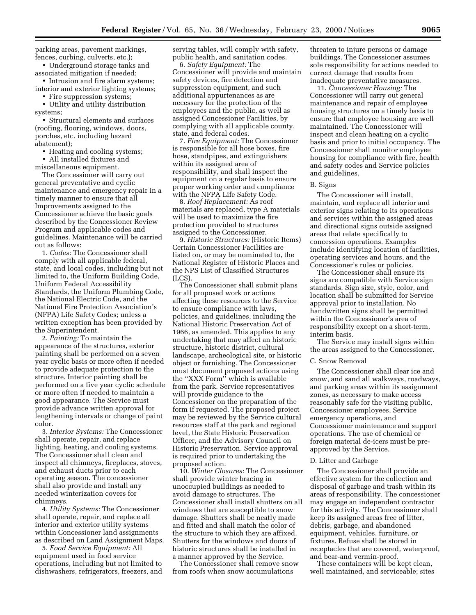parking areas, pavement markings, fences, curbing, culverts, etc.);

• Underground storage tanks and associated mitigation if needed;

• Intrusion and fire alarm systems; interior and exterior lighting systems;

• Fire suppression systems;

• Utility and utility distribution systems;

• Structural elements and surfaces (roofing, flooring, windows, doors, porches, etc. including hazard abatement);

• Heating and cooling systems;

• All installed fixtures and miscellaneous equipment.

The Concessioner will carry out general preventative and cyclic maintenance and emergency repair in a timely manner to ensure that all Improvements assigned to the Concessioner achieve the basic goals described by the Concessioner Review Program and applicable codes and guidelines. Maintenance will be carried out as follows:

1. *Codes:* The Concessioner shall comply with all applicable federal, state, and local codes, including but not limited to, the Uniform Building Code, Uniform Federal Accessibility Standards, the Uniform Plumbing Code, the National Electric Code, and the National Fire Protection Association's (NFPA) Life Safety Codes; unless a written exception has been provided by the Superintendent.

2. *Painting:* To maintain the appearance of the structures, exterior painting shall be performed on a seven year cyclic basis or more often if needed to provide adequate protection to the structure. Interior painting shall be performed on a five year cyclic schedule or more often if needed to maintain a good appearance. The Service must provide advance written approval for lengthening intervals or change of paint color.

3. *Interior Systems:* The Concessioner shall operate, repair, and replace lighting, heating, and cooling systems. The Concessioner shall clean and inspect all chimneys, fireplaces, stoves, and exhaust ducts prior to each operating season. The concessioner shall also provide and install any needed winterization covers for chimneys.

4. *Utility Systems:* The Concessioner shall operate, repair, and replace all interior and exterior utility systems within Concessioner land assignments as described on Land Assignment Maps.

5. *Food Service Equipment:* All equipment used in food service operations, including but not limited to dishwashers, refrigerators, freezers, and serving tables, will comply with safety, public health, and sanitation codes.

6. *Safety Equipment:* The Concessioner will provide and maintain safety devices, fire detection and suppression equipment, and such additional appurtenances as are necessary for the protection of the employees and the public, as well as assigned Concessioner Facilities, by complying with all applicable county, state, and federal codes.

7. *Fire Equipment:* The Concessioner is responsible for all hose boxes, fire hose, standpipes, and extinguishers within its assigned area of responsibility, and shall inspect the equipment on a regular basis to ensure proper working order and compliance with the NFPA Life Safety Code.

8. *Roof Replacement:* As roof materials are replaced, type A materials will be used to maximize the fire protection provided to structures assigned to the Concessioner.

9. *Historic Structures:* (Historic Items) Certain Concessioner Facilities are listed on, or may be nominated to, the National Register of Historic Places and the NPS List of Classified Structures (LCS).

The Concessioner shall submit plans for all proposed work or actions affecting these resources to the Service to ensure compliance with laws, policies, and guidelines, including the National Historic Preservation Act of 1966, as amended. This applies to any undertaking that may affect an historic structure, historic district, cultural landscape, archeological site, or historic object or furnishing. The Concessioner must document proposed actions using the ''XXX Form'' which is available from the park. Service representatives will provide guidance to the Concessioner on the preparation of the form if requested. The proposed project may be reviewed by the Service cultural resources staff at the park and regional level, the State Historic Preservation Officer, and the Advisory Council on Historic Preservation. Service approval is required prior to undertaking the proposed action.

10. *Winter Closures:* The Concessioner shall provide winter bracing in unoccupied buildings as needed to avoid damage to structures. The Concessioner shall install shutters on all windows that are susceptible to snow damage. Shutters shall be neatly made and fitted and shall match the color of the structure to which they are affixed. Shutters for the windows and doors of historic structures shall be installed in a manner approved by the Service.

The Concessioner shall remove snow from roofs when snow accumulations

threaten to injure persons or damage buildings. The Concessioner assumes sole responsibility for actions needed to correct damage that results from inadequate preventative measures.

11. *Concessioner Housing:* The Concessioner will carry out general maintenance and repair of employee housing structures on a timely basis to ensure that employee housing are well maintained. The Concessioner will inspect and clean heating on a cyclic basis and prior to initial occupancy. The Concessioner shall monitor employee housing for compliance with fire, health and safety codes and Service policies and guidelines.

#### B. Signs

The Concessioner will install, maintain, and replace all interior and exterior signs relating to its operations and services within the assigned areas and directional signs outside assigned areas that relate specifically to concession operations. Examples include identifying location of facilities, operating services and hours, and the Concessioner's rules or policies.

The Concessioner shall ensure its signs are compatible with Service sign standards. Sign size, style, color, and location shall be submitted for Service approval prior to installation. No handwritten signs shall be permitted within the Concessioner's area of responsibility except on a short-term, interim basis.

The Service may install signs within the areas assigned to the Concessioner.

#### C. Snow Removal

The Concessioner shall clear ice and snow, and sand all walkways, roadways, and parking areas within its assignment zones, as necessary to make access reasonably safe for the visiting public, Concessioner employees, Service emergency operations, and Concessioner maintenance and support operations. The use of chemical or foreign material de-icers must be preapproved by the Service.

#### D. Litter and Garbage

The Concessioner shall provide an effective system for the collection and disposal of garbage and trash within its areas of responsibility. The concessioner may engage an independent contractor for this activity. The Concessioner shall keep its assigned areas free of litter, debris, garbage, and abandoned equipment, vehicles, furniture, or fixtures. Refuse shall be stored in receptacles that are covered, waterproof, and bear-and vermin-proof.

These containers will be kept clean, well maintained, and serviceable; sites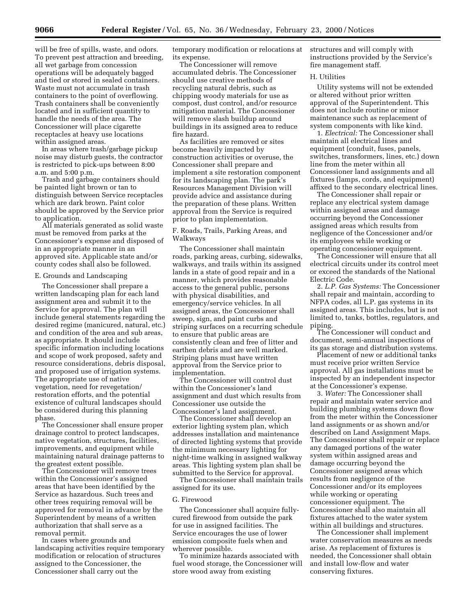will be free of spills, waste, and odors. To prevent pest attraction and breeding, all wet garbage from concession operations will be adequately bagged and tied or stored in sealed containers. Waste must not accumulate in trash containers to the point of overflowing. Trash containers shall be conveniently located and in sufficient quantity to handle the needs of the area. The Concessioner will place cigarette receptacles at heavy use locations within assigned areas.

In areas where trash/garbage pickup noise may disturb guests, the contractor is restricted to pick-ups between 8:00 a.m. and 5:00 p.m.

Trash and garbage containers should be painted light brown or tan to distinguish between Service receptacles which are dark brown. Paint color should be approved by the Service prior to application.

All materials generated as solid waste must be removed from parks at the Concessioner's expense and disposed of in an appropriate manner in an approved site. Applicable state and/or county codes shall also be followed.

#### E. Grounds and Landscaping

The Concessioner shall prepare a written landscaping plan for each land assignment area and submit it to the Service for approval. The plan will include general statements regarding the desired regime (manicured, natural, etc.) and condition of the area and sub areas, as appropriate. It should include specific information including locations and scope of work proposed, safety and resource considerations, debris disposal, and proposed use of irrigation systems. The appropriate use of native vegetation, need for revegetation/ restoration efforts, and the potential existence of cultural landscapes should be considered during this planning phase.

The Concessioner shall ensure proper drainage control to protect landscapes, native vegetation, structures, facilities, improvements, and equipment while maintaining natural drainage patterns to the greatest extent possible.

The Concessioner will remove trees within the Concessioner's assigned areas that have been identified by the Service as hazardous. Such trees and other trees requiring removal will be approved for removal in advance by the Superintendent by means of a written authorization that shall serve as a removal permit.

In cases where grounds and landscaping activities require temporary modification or relocation of structures assigned to the Concessioner, the Concessioner shall carry out the

temporary modification or relocations at its expense.

The Concessioner will remove accumulated debris. The Concessioner should use creative methods of recycling natural debris, such as chipping woody materials for use as compost, dust control, and/or resource mitigation material. The Concessioner will remove slash buildup around buildings in its assigned area to reduce fire hazard.

As facilities are removed or sites become heavily impacted by construction activities or overuse, the Concessioner shall prepare and implement a site restoration component for its landscaping plan. The park's Resources Management Division will provide advice and assistance during the preparation of these plans. Written approval from the Service is required prior to plan implementation.

F. Roads, Trails, Parking Areas, and Walkways

The Concessioner shall maintain roads, parking areas, curbing, sidewalks, walkways, and trails within its assigned lands in a state of good repair and in a manner, which provides reasonable access to the general public, persons with physical disabilities, and emergency/service vehicles. In all assigned areas, the Concessioner shall sweep, sign, and paint curbs and striping surfaces on a recurring schedule to ensure that public areas are consistently clean and free of litter and earthen debris and are well marked. Striping plans must have written approval from the Service prior to implementation.

The Concessioner will control dust within the Concessioner's land assignment and dust which results from Concessioner use outside the Concessioner's land assignment.

The Concessioner shall develop an exterior lighting system plan, which addresses installation and maintenance of directed lighting systems that provide the minimum necessary lighting for night-time walking in assigned walkway areas. This lighting system plan shall be submitted to the Service for approval.

The Concessioner shall maintain trails assigned for its use.

#### G. Firewood

The Concessioner shall acquire fullycured firewood from outside the park for use in assigned facilities. The Service encourages the use of lower emission composite fuels when and wherever possible.

To minimize hazards associated with fuel wood storage, the Concessioner will store wood away from existing

structures and will comply with instructions provided by the Service's fire management staff.

#### H. Utilities

Utility systems will not be extended or altered without prior written approval of the Superintendent. This does not include routine or minor maintenance such as replacement of system components with like kind.

1. *Electrical:* The Concessioner shall maintain all electrical lines and equipment (conduit, fuses, panels, switches, transformers, lines, etc.) down line from the meter within all Concessioner land assignments and all fixtures (lamps, cords, and equipment) affixed to the secondary electrical lines.

The Concessioner shall repair or replace any electrical system damage within assigned areas and damage occurring beyond the Concessioner assigned areas which results from negligence of the Concessioner and/or its employees while working or operating concessioner equipment.

The Concessioner will ensure that all electrical circuits under its control meet or exceed the standards of the National Electric Code.

2. *L.P. Gas Systems:* The Concessioner shall repair and maintain, according to NFPA codes, all L.P. gas systems in its assigned areas. This includes, but is not limited to, tanks, bottles, regulators, and piping.

The Concessioner will conduct and document, semi-annual inspections of its gas storage and distribution systems.

Placement of new or additional tanks must receive prior written Service approval. All gas installations must be inspected by an independent inspector at the Concessioner's expense.

3. *Water:* The Concessioner shall repair and maintain water service and building plumbing systems down flow from the meter within the Concessioner land assignments or as shown and/or described on Land Assignment Maps. The Concessioner shall repair or replace any damaged portions of the water system within assigned areas and damage occurring beyond the Concessioner assigned areas which results from negligence of the Concessioner and/or its employees while working or operating concessioner equipment. The Concessioner shall also maintain all fixtures attached to the water system within all buildings and structures.

The Concessioner shall implement water conservation measures as needs arise. As replacement of fixtures is needed, the Concessioner shall obtain and install low-flow and water conserving fixtures.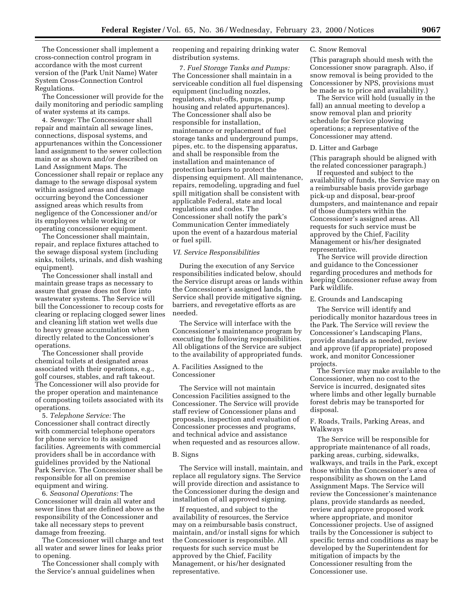The Concessioner shall implement a cross-connection control program in accordance with the most current version of the (Park Unit Name) Water System Cross-Connection Control Regulations.

The Concessioner will provide for the daily monitoring and periodic sampling of water systems at its camps.

4. *Sewage:* The Concessioner shall repair and maintain all sewage lines, connections, disposal systems, and appurtenances within the Concessioner land assignment to the sewer collection main or as shown and/or described on Land Assignment Maps. The Concessioner shall repair or replace any damage to the sewage disposal system within assigned areas and damage occurring beyond the Concessioner assigned areas which results from negligence of the Concessioner and/or its employees while working or operating concessioner equipment.

The Concessioner shall maintain, repair, and replace fixtures attached to the sewage disposal system (including sinks, toilets, urinals, and dish washing equipment).

The Concessioner shall install and maintain grease traps as necessary to assure that grease does not flow into wastewater systems. The Service will bill the Concessioner to recoup costs for clearing or replacing clogged sewer lines and cleaning lift station wet wells due to heavy grease accumulation when directly related to the Concessioner's operations.

The Concessioner shall provide chemical toilets at designated areas associated with their operations, e.g., golf courses, stables, and raft takeout. The Concessioner will also provide for the proper operation and maintenance of composting toilets associated with its operations.

5. *Telephone Service:* The Concessioner shall contract directly with commercial telephone operators for phone service to its assigned facilities. Agreements with commercial providers shall be in accordance with guidelines provided by the National Park Service. The Concessioner shall be responsible for all on premise equipment and wiring.

6. *Seasonal Operations:* The Concessioner will drain all water and sewer lines that are defined above as the responsibility of the Concessioner and take all necessary steps to prevent damage from freezing.

The Concessioner will charge and test all water and sewer lines for leaks prior to opening.

The Concessioner shall comply with the Service's annual guidelines when

reopening and repairing drinking water distribution systems.

7. *Fuel Storage Tanks and Pumps:* The Concessioner shall maintain in a serviceable condition all fuel dispensing equipment (including nozzles, regulators, shut-offs, pumps, pump housing and related appurtenances). The Concessioner shall also be responsible for installation, maintenance or replacement of fuel storage tanks and underground pumps, pipes, etc. to the dispensing apparatus, and shall be responsible from the installation and maintenance of protection barriers to protect the dispensing equipment. All maintenance, repairs, remodeling, upgrading and fuel spill mitigation shall be consistent with applicable Federal, state and local regulations and codes. The Concessioner shall notify the park's Communication Center immediately upon the event of a hazardous material or fuel spill.

#### *VI. Service Responsibilities*

During the execution of any Service responsibilities indicated below, should the Service disrupt areas or lands within the Concessioner's assigned lands, the Service shall provide mitigative signing, barriers, and revegetative efforts as are needed.

The Service will interface with the Concessioner's maintenance program by executing the following responsibilities. All obligations of the Service are subject to the availability of appropriated funds.

#### A. Facilities Assigned to the Concessioner

The Service will not maintain Concession Facilities assigned to the Concessioner. The Service will provide staff review of Concessioner plans and proposals, inspection and evaluation of Concessioner processes and programs, and technical advice and assistance when requested and as resources allow.

#### B. Signs

The Service will install, maintain, and replace all regulatory signs. The Service will provide direction and assistance to the Concessioner during the design and installation of all approved signing.

If requested, and subject to the availability of resources, the Service may on a reimbursable basis construct, maintain, and/or install signs for which the Concessioner is responsible. All requests for such service must be approved by the Chief, Facility Management, or his/her designated representative.

#### C. Snow Removal

(This paragraph should mesh with the Concessioner snow paragraph. Also, if snow removal is being provided to the Concessioner by NPS, provisions must be made as to price and availability.)

The Service will hold (usually in the fall) an annual meeting to develop a snow removal plan and priority schedule for Service plowing operations; a representative of the Concessioner may attend.

#### D. Litter and Garbage

(This paragraph should be aligned with the related concessioner paragraph.)

If requested and subject to the availability of funds, the Service may on a reimbursable basis provide garbage pick-up and disposal, bear-proof dumpsters, and maintenance and repair of those dumpsters within the Concessioner's assigned areas. All requests for such service must be approved by the Chief, Facility Management or his/her designated representative.

The Service will provide direction and guidance to the Concessioner regarding procedures and methods for keeping Concessioner refuse away from Park wildlife.

#### E. Grounds and Landscaping

The Service will identify and periodically monitor hazardous trees in the Park. The Service will review the Concessioner's Landscaping Plans, provide standards as needed, review and approve (if appropriate) proposed work, and monitor Concessioner projects.

The Service may make available to the Concessioner, when no cost to the Service is incurred, designated sites where limbs and other legally burnable forest debris may be transported for disposal.

# F. Roads, Trails, Parking Areas, and Walkways

The Service will be responsible for appropriate maintenance of all roads, parking areas, curbing, sidewalks, walkways, and trails in the Park, except those within the Concessioner's area of responsibility as shown on the Land Assignment Maps. The Service will review the Concessioner's maintenance plans, provide standards as needed, review and approve proposed work where appropriate, and monitor Concessioner projects. Use of assigned trails by the Concessioner is subject to specific terms and conditions as may be developed by the Superintendent for mitigation of impacts by the Concessioner resulting from the Concessioner use.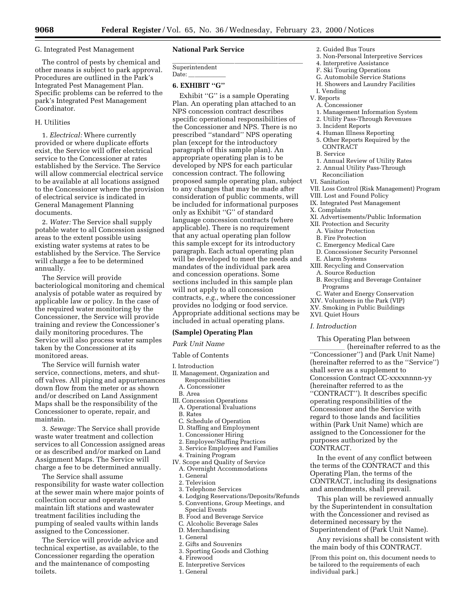lllllllllllllllllllll

#### G. Integrated Pest Management

The control of pests by chemical and other means is subject to park approval. Procedures are outlined in the Park's Integrated Pest Management Plan. Specific problems can be referred to the park's Integrated Pest Management Coordinator.

# H. Utilities

1. *Electrical:* Where currently provided or where duplicate efforts exist, the Service will offer electrical service to the Concessioner at rates established by the Service. The Service will allow commercial electrical service to be available at all locations assigned to the Concessioner where the provision of electrical service is indicated in General Management Planning documents.

2. *Water:* The Service shall supply potable water to all Concession assigned areas to the extent possible using existing water systems at rates to be established by the Service. The Service will charge a fee to be determined annually.

The Service will provide bacteriological monitoring and chemical analysis of potable water as required by applicable law or policy. In the case of the required water monitoring by the Concessioner, the Service will provide training and review the Concessioner's daily monitoring procedures. The Service will also process water samples taken by the Concessioner at its monitored areas.

The Service will furnish water service, connections, meters, and shutoff valves. All piping and appurtenances down flow from the meter or as shown and/or described on Land Assignment Maps shall be the responsibility of the Concessioner to operate, repair, and maintain.

3. *Sewage:* The Service shall provide waste water treatment and collection services to all Concession assigned areas or as described and/or marked on Land Assignment Maps. The Service will charge a fee to be determined annually.

The Service shall assume responsibility for waste water collection at the sewer main where major points of collection occur and operate and maintain lift stations and wastewater treatment facilities including the pumping of sealed vaults within lands assigned to the Concessioner.

The Service will provide advice and technical expertise, as available, to the Concessioner regarding the operation and the maintenance of composting toilets.

# **National Park Service**

Superintendent

Date:

# **6. EXHIBIT ''G''**

Exhibit "G" is a sample Operating Plan. An operating plan attached to an NPS concession contract describes specific operational responsibilities of the Concessioner and NPS. There is no prescribed ''standard'' NPS operating plan (except for the introductory paragraph of this sample plan). An appropriate operating plan is to be developed by NPS for each particular concession contract. The following proposed sample operating plan, subject to any changes that may be made after consideration of public comments, will be included for informational purposes only as Exhibit ''G'' of standard language concession contracts (where applicable). There is no requirement that any actual operating plan follow this sample except for its introductory paragraph. Each actual operating plan will be developed to meet the needs and mandates of the individual park area and concession operations. Some sections included in this sample plan will not apply to all concession contracts, *e.g.*, where the concessioner provides no lodging or food service. Appropriate additional sections may be included in actual operating plans.

#### **(Sample) Operating Plan**

#### *Park Unit Name*

- Table of Contents
- I. Introduction
- II. Management, Organization and Responsibilities
- A. Concessioner
- B. Area
- III. Concession Operations
- A. Operational Evaluations
- B. Rates
- C. Schedule of Operation
- D. Staffing and Employment
- 1. Concessioner Hiring
- 2. Employee/Staffing Practices
- 3. Service Employees and Families
- 4. Training Program
- IV. Scope and Quality of Service A. Overnight Accommodations
	- 1. General
	- 2. Television
	- 3. Telephone Services
	- 4. Lodging Reservations/Deposits/Refunds 5. Conventions, Group Meetings, and Special Events
	- B. Food and Beverage Service
	-
	- C. Alcoholic Beverage Sales D. Merchandising
	- 1. General
	- 2. Gifts and Souvenirs
	- 3. Sporting Goods and Clothing
	- 4. Firewood
	- E. Interpretive Services
	- 1. General
- 2. Guided Bus Tours
- 3. Non-Personal Interpretive Services
- 4. Interpretive Assistance
- F. Ski Touring Operations
- G. Automobile Service Stations H. Showers and Laundry Facilities
- I. Vending
- V. Reports
- A. Concessioner
- 1. Management Information System
- 2. Utility Pass-Through Revenues
- 3. Incident Reports
- 4. Human Illness Reporting
- 5. Other Reports Required by the CONTRACT
- B. Service
- 1. Annual Review of Utility Rates
- 2. Annual Utility Pass-Through Reconciliation
- VI. Sanitation
- VII. Loss Control (Risk Management) Program
- VIII. Lost and Found Policy
- IX. Integrated Pest Management
- X. Complaints
- XI. Advertisements/Public Information
- XII. Protection and Security
	- A. Visitor Protection
	- B. Fire Protection
	- C. Emergency Medical Care
	- D. Concessioner Security Personnel
	- E. Alarm Systems
- XIII. Recycling and Conservation
	- A. Source Reduction
	- B. Recycling and Beverage Container Programs
- C. Water and Energy Conservation
- XIV. Volunteers in the Park (VIP)
- XV. Smoking in Public Buildings
- XVI. Quiet Hours

#### *I. Introduction*

This Operating Plan between

(hereinafter referred to as the ''Concessioner'') and (Park Unit Name) (hereinafter referred to as the ''Service'') shall serve as a supplement to Concession Contract CC-xxxxnnnn-yy (hereinafter referred to as the ''CONTRACT''). It describes specific operating responsibilities of the Concessioner and the Service with regard to those lands and facilities within (Park Unit Name) which are assigned to the Concessioner for the purposes authorized by the CONTRACT.

In the event of any conflict between the terms of the CONTRACT and this Operating Plan, the terms of the CONTRACT, including its designations and amendments, shall prevail.

This plan will be reviewed annually by the Superintendent in consultation with the Concessioner and revised as determined necessary by the Superintendent of (Park Unit Name).

Any revisions shall be consistent with the main body of this CONTRACT.

[From this point on, this document needs to be tailored to the requirements of each individual park.]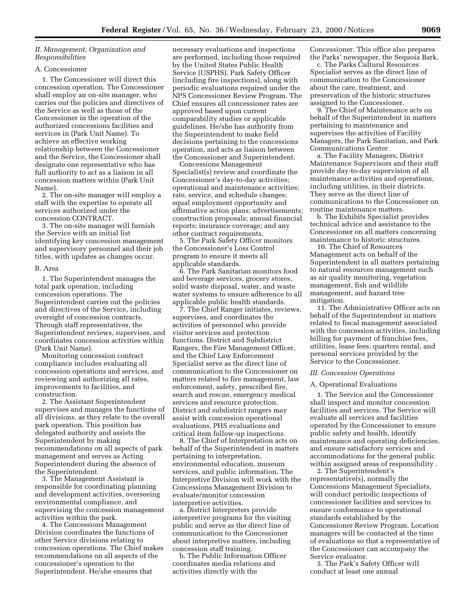# *II. Management, Organization and Responsibilities*

# A. Concessioner

1. The Concessioner will direct this concession operation. The Concessioner shall employ an on-site manager, who carries out the policies and directives of the Service as well as those of the Concessioner in the operation of the authorized concessions facilities and services in (Park Unit Name). To achieve an effective working relationship between the Concessioner and the Service, the Concessioner shall designate one representative who has full authority to act as a liaison in all concession matters within (Park Unit Name).

2. The on-site manager will employ a staff with the expertise to operate all services authorized under the concession CONTRACT.

3. The on-site manager will furnish the Service with an initial list identifying key concession management and supervisory personnel and their job titles, with updates as changes occur.

#### B. Area

1. The Superintendent manages the total park operation, including concession operations. The Superintendent carries out the policies and directives of the Service, including oversight of concession contracts. Through staff representatives, the Superintendent reviews, supervises, and coordinates concession activities within (Park Unit Name).

Monitoring concession contract compliance includes evaluating all concession operations and services, and reviewing and authorizing all rates, improvements to facilities, and construction.

2. The Assistant Superintendent supervises and manages the functions of all divisions, as they relate to the overall park operation. This position has delegated authority and assists the Superintendent by making recommendations on all aspects of park management and serves as Acting Superintendent during the absence of the Superintendent.

3. The Management Assistant is responsible for coordinating planning and development activities, overseeing environmental compliance, and supervising the concession management activities within the park.

4. The Concessions Management Division coordinates the functions of other Service divisions relating to concession operations. The Chief makes recommendations on all aspects of the concessioner's operation to the Superintendent. He/she ensures that

necessary evaluations and inspections are performed, including those required by the United States Public Health Service (USPHS), Park Safety Officer (including fire inspections), along with periodic evaluations required under the NPS Concessioner Review Program. The Chief ensures all concessioner rates are approved based upon current comparability studies or applicable guidelines. He/she has authority from the Superintendent to make field decisions pertaining to the concessions operation, and acts as liaison between the Concessioner and Superintendent.

Concessions Management Specialist(s) review and coordinate the Concessioner's day-to-day activities; operational and maintenance activities; rate, service, and schedule changes; equal employment opportunity and affirmative action plans; advertisements; construction proposals; annual financial reports; insurance coverage; and any other contract requirements.

5. The Park Safety Officer monitors the Concessioner's Loss Control program to ensure it meets all applicable standards.

6. The Park Sanitarian monitors food and beverage services, grocery stores, solid waste disposal, water, and waste water systems to ensure adherence to all applicable public health standards.

7. The Chief Ranger initiates, reviews, supervises, and coordinates the activities of personnel who provide visitor services and protection functions. District and Subdistrict Rangers, the Fire Management Officer, and the Chief Law Enforcement Specialist serve as the direct line of communication to the Concessioner on matters related to fire management, law enforcement, safety, prescribed fire, search and rescue, emergency medical services and resource protection. District and subdistrict rangers may assist with concession operational evaluations, PHS evaluations and critical item follow-up inspections.

8. The Chief of Interpretation acts on behalf of the Superintendent in matters pertaining to interpretation, environmental education, museum services, and public information. The Interpretive Division will work with the Concessions Management Division to evaluate/monitor concession interpretive activities.

a. District Interpreters provide interpretive programs for the visiting public and serve as the direct line of communication to the Concessioner about interpretive matters, including concession staff training.

b. The Public Information Officer coordinates media relations and activities directly with the

Concessioner. This office also prepares the Parks' newspaper, the Sequoia Bark.

c. The Parks Cultural Resources Specialist serves as the direct line of communication to the Concessioner about the care, treatment, and preservation of the historic structures assigned to the Concessioner.

9. The Chief of Maintenance acts on behalf of the Superintendent in matters pertaining to maintenance and supervises the activities of Facility Managers, the Park Sanitarian, and Park Communications Center.

a. The Facility Managers, District Maintenance Supervisors and their staff provide day-to-day supervision of all maintenance activities and operations, including utilities, in their districts. They serve as the direct line of communications to the Concessioner on routine maintenance matters.

b. The Exhibits Specialist provides technical advice and assistance to the Concessioner on all matters concerning maintenance to historic structures.

10. The Chief of Resources Management acts on behalf of the Superintendent in all matters pertaining to natural resources management such as air quality monitoring, vegetation management, fish and wildlife management, and hazard tree mitigation.

11. The Administrative Officer acts on behalf of the Superintendent in matters related to fiscal management associated with the concession activities, including billing for payment of franchise fees, utilities, lease fees, quarters rental, and personal services provided by the Service to the Concessioner.

#### *III. Concession Operations*

#### A. Operational Evaluations

1. The Service and the Concessioner shall inspect and monitor concession facilities and services. The Service will evaluate all services and facilities operated by the Concessioner to ensure public safety and health, identify maintenance and operating deficiencies, and ensure satisfactory services and accommodations for the general public within assigned areas of responsibility .

2. The Superintendent's representative(s), normally the Concessions Management Specialists, will conduct periodic inspections of concessioner facilities and services to ensure conformance to operational standards established by the Concessioner Review Program. Location managers will be contacted at the time of evaluations so that a representative of the Concessioner can accompany the Service evaluator.

3. The Park's Safety Officer will conduct at least one annual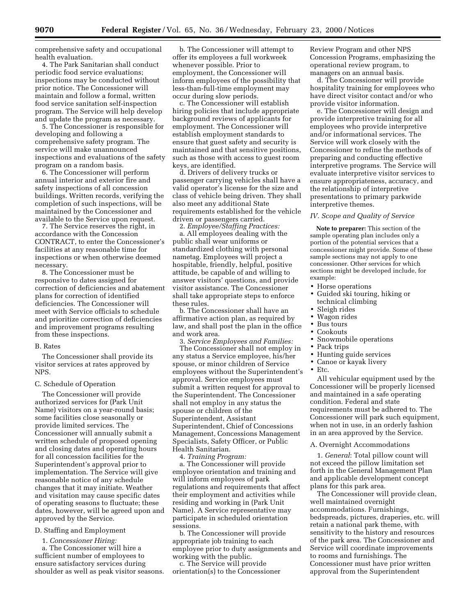comprehensive safety and occupational health evaluation.

4. The Park Sanitarian shall conduct periodic food service evaluations; inspections may be conducted without prior notice. The Concessioner will maintain and follow a formal, written food service sanitation self-inspection program. The Service will help develop and update the program as necessary.

5. The Concessioner is responsible for developing and following a comprehensive safety program. The service will make unannounced inspections and evaluations of the safety program on a random basis.

6. The Concessioner will perform annual interior and exterior fire and safety inspections of all concession buildings. Written records, verifying the completion of such inspections, will be maintained by the Concessioner and available to the Service upon request.

7. The Service reserves the right, in accordance with the Concession CONTRACT, to enter the Concessioner's facilities at any reasonable time for inspections or when otherwise deemed necessary.

8. The Concessioner must be responsive to dates assigned for correction of deficiencies and abatement plans for correction of identified deficiencies. The Concessioner will meet with Service officials to schedule and prioritize correction of deficiencies and improvement programs resulting from these inspections.

#### B. Rates

The Concessioner shall provide its visitor services at rates approved by NPS.

# C. Schedule of Operation

The Concessioner will provide authorized services for (Park Unit Name) visitors on a year-round basis; some facilities close seasonally or provide limited services. The Concessioner will annually submit a written schedule of proposed opening and closing dates and operating hours for all concession facilities for the Superintendent's approval prior to implementation. The Service will give reasonable notice of any schedule changes that it may initiate. Weather and visitation may cause specific dates of operating seasons to fluctuate; these dates, however, will be agreed upon and approved by the Service.

# D. Staffing and Employment

1. *Concessioner Hiring:*

a. The Concessioner will hire a sufficient number of employees to ensure satisfactory services during shoulder as well as peak visitor seasons.

b. The Concessioner will attempt to offer its employees a full workweek whenever possible. Prior to employment, the Concessioner will inform employees of the possibility that less-than-full-time employment may occur during slow periods.

c. The Concessioner will establish hiring policies that include appropriate background reviews of applicants for employment. The Concessioner will establish employment standards to ensure that guest safety and security is maintained and that sensitive positions, such as those with access to guest room keys, are identified.

d. Drivers of delivery trucks or passenger carrying vehicles shall have a valid operator's license for the size and class of vehicle being driven. They shall also meet any additional State requirements established for the vehicle driven or passengers carried.

2. *Employee/Staffing Practices:* a. All employees dealing with the public shall wear uniforms or standardized clothing with personal nametag. Employees will project a hospitable, friendly, helpful, positive attitude, be capable of and willing to answer visitors' questions, and provide visitor assistance. The Concessioner shall take appropriate steps to enforce these rules.

b. The Concessioner shall have an affirmative action plan, as required by law, and shall post the plan in the office and work area.

3. *Service Employees and Families:* The Concessioner shall not employ in any status a Service employee, his/her spouse, or minor children of Service employees without the Superintendent's approval. Service employees must submit a written request for approval to the Superintendent. The Concessioner shall not employ in any status the spouse or children of the Superintendent, Assistant Superintendent, Chief of Concessions Management, Concessions Management Specialists, Safety Officer, or Public Health Sanitarian.

4. *Training Program:*

a. The Concessioner will provide employee orientation and training and will inform employees of park regulations and requirements that affect their employment and activities while residing and working in (Park Unit Name). A Service representative may participate in scheduled orientation sessions.

b. The Concessioner will provide appropriate job training to each employee prior to duty assignments and working with the public.

c. The Service will provide orientation(s) to the Concessioner

Review Program and other NPS Concession Programs, emphasizing the operational review program, to managers on an annual basis.

d. The Concessioner will provide hospitality training for employees who have direct visitor contact and/or who provide visitor information.

e. The Concessioner will design and provide interpretive training for all employees who provide interpretive and/or informational services. The Service will work closely with the Concessioner to refine the methods of preparing and conducting effective interpretive programs. The Service will evaluate interpretive visitor services to ensure appropriateness, accuracy, and the relationship of interpretive presentations to primary parkwide interpretive themes.

#### *IV. Scope and Quality of Service*

**Note to preparer:** This section of the sample operating plan includes only a portion of the potential services that a concessioner might provide. Some of these sample sections may not apply to one concessioner. Other services for which sections might be developed include, for example:

- Horse operations
- Guided ski touring, hiking or technical climbing
- Sleigh rides
- Wagon rides
- Bus tours
- **Cookouts**
- Snowmobile operations
- Pack trips
- Hunting guide services
- Canoe or kayak livery
- Etc.

All vehicular equipment used by the Concessioner will be properly licensed and maintained in a safe operating condition. Federal and state requirements must be adhered to. The Concessioner will park such equipment, when not in use, in an orderly fashion in an area approved by the Service.

#### A. Overnight Accommodations

1. *General*: Total pillow count will not exceed the pillow limitation set forth in the General Management Plan and applicable development concept plans for this park area.

The Concessioner will provide clean, well maintained overnight accommodations. Furnishings, bedspreads, pictures, draperies, etc. will retain a national park theme, with sensitivity to the history and resources of the park area. The Concessioner and Service will coordinate improvements to rooms and furnishings. The Concessioner must have prior written approval from the Superintendent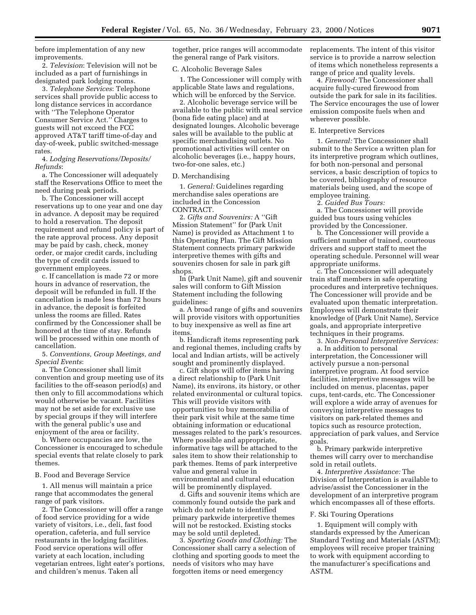before implementation of any new improvements.

2. *Television*: Television will not be included as a part of furnishings in designated park lodging rooms.

3. *Telephone Services*: Telephone services shall provide public access to long distance services in accordance with ''The Telephone Operator Consumer Service Act.'' Charges to guests will not exceed the FCC approved AT&T tariff time-of-day and day-of-week, public switched-message rates.

4. *Lodging Reservations/Deposits/ Refunds*:

a. The Concessioner will adequately staff the Reservations Office to meet the need during peak periods.

b. The Concessioner will accept reservations up to one year and one day in advance. A deposit may be required to hold a reservation. The deposit requirement and refund policy is part of the rate approval process. Any deposit may be paid by cash, check, money order, or major credit cards, including the type of credit cards issued to government employees.

c. If cancellation is made 72 or more hours in advance of reservation, the deposit will be refunded in full. If the cancellation is made less than 72 hours in advance, the deposit is forfeited unless the rooms are filled. Rates confirmed by the Concessioner shall be honored at the time of stay. Refunds will be processed within one month of cancellation.

5. *Conventions, Group Meetings, and Special Events*:

a. The Concessioner shall limit convention and group meeting use of its facilities to the off-season period(s) and then only to fill accommodations which would otherwise be vacant. Facilities may not be set aside for exclusive use by special groups if they will interfere with the general public's use and enjoyment of the area or facility.

b. Where occupancies are low, the Concessioner is encouraged to schedule special events that relate closely to park themes.

#### B. Food and Beverage Service

1. All menus will maintain a price range that accommodates the general range of park visitors.

2. The Concessioner will offer a range of food service providing for a wide variety of visitors, i.e., deli, fast food operation, cafeteria, and full service restaurants in the lodging facilities. Food service operations will offer variety at each location, including vegetarian entrees, light eater's portions, and children's menus. Taken all

together, price ranges will accommodate the general range of Park visitors.

#### C. Alcoholic Beverage Sales

1. The Concessioner will comply with applicable State laws and regulations, which will be enforced by the Service.

2. Alcoholic beverage service will be available to the public with meal service (bona fide eating place) and at designated lounges. Alcoholic beverage sales will be available to the public at specific merchandising outlets. No promotional activities will center on alcoholic beverages (i.e., happy hours, two-for-one sales, etc.)

#### D. Merchandising

1. *General:* Guidelines regarding merchandise sales operations are included in the Concession CONTRACT.

2. *Gifts and Souvenirs:* A ''Gift Mission Statement'' for (Park Unit Name) is provided as Attachment 1 to this Operating Plan. The Gift Mission Statement connects primary parkwide interpretive themes with gifts and souvenirs chosen for sale in park gift shops.

In (Park Unit Name), gift and souvenir sales will conform to Gift Mission Statement including the following guidelines:

a. A broad range of gifts and souvenirs will provide visitors with opportunities to buy inexpensive as well as fine art items.

b. Handicraft items representing park and regional themes, including crafts by local and Indian artists, will be actively sought and prominently displayed.

c. Gift shops will offer items having a direct relationship to (Park Unit Name), its environs, its history, or other related environmental or cultural topics. This will provide visitors with opportunities to buy memorabilia of their park visit while at the same time obtaining information or educational messages related to the park's resources. Where possible and appropriate, informative tags will be attached to the sales item to show their relationship to park themes. Items of park interpretive value and general value in environmental and cultural education will be prominently displayed.

d. Gifts and souvenir items which are commonly found outside the park and which do not relate to identified primary parkwide interpretive themes will not be restocked. Existing stocks may be sold until depleted.

3. *Sporting Goods and Clothing:* The Concessioner shall carry a selection of clothing and sporting goods to meet the needs of visitors who may have forgotten items or need emergency

replacements. The intent of this visitor service is to provide a narrow selection of items which nonetheless represents a range of price and quality levels.

4. *Firewood:* The Concessioner shall acquire fully-cured firewood from outside the park for sale in its facilities. The Service encourages the use of lower emission composite fuels when and wherever possible.

#### E. Interpretive Services

1. *General:* The Concessioner shall submit to the Service a written plan for its interpretive program which outlines, for both non-personal and personal services, a basic description of topics to be covered, bibliography of resource materials being used, and the scope of employee training.

2. *Guided Bus Tours:*

a. The Concessioner will provide guided bus tours using vehicles provided by the Concessioner.

b. The Concessioner will provide a sufficient number of trained, courteous drivers and support staff to meet the operating schedule. Personnel will wear appropriate uniforms.

c. The Concessioner will adequately train staff members in safe operating procedures and interpretive techniques. The Concessioner will provide and be evaluated upon thematic interpretation. Employees will demonstrate their knowledge of (Park Unit Name), Service goals, and appropriate interpretive techniques in their programs.

3. *Non-Personal Interpretive Services:*

a. In addition to personal interpretation, the Concessioner will actively pursue a non-personal interpretive program. At food service facilities, interpretive messages will be included on menus, placentas, paper cups, tent-cards, etc. The Concessioner will explore a wide array of avenues for conveying interpretive messages to visitors on park-related themes and topics such as resource protection, appreciation of park values, and Service goals.

b. Primary parkwide interpretive themes will carry over to merchandise sold in retail outlets.

4. *Interpretive Assistance:* The Division of Interpretation is available to advise/assist the Concessioner in the development of an interpretive program which encompasses all of these efforts.

#### F. Ski Touring Operations

1. Equipment will comply with standards expressed by the American Standard Testing and Materials (ASTM); employees will receive proper training to work with equipment according to the manufacturer's specifications and ASTM.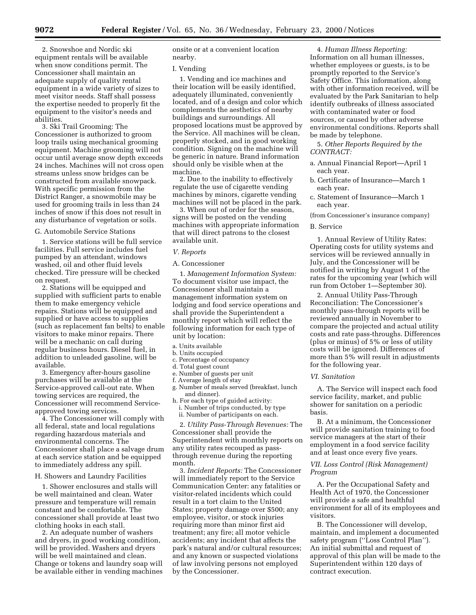2. Snowshoe and Nordic ski equipment rentals will be available when snow conditions permit. The Concessioner shall maintain an adequate supply of quality rental equipment in a wide variety of sizes to meet visitor needs. Staff shall possess the expertise needed to properly fit the equipment to the visitor's needs and abilities.

3. Ski Trail Grooming: The Concessioner is authorized to groom loop trails using mechanical grooming equipment. Machine grooming will not occur until average snow depth exceeds 24 inches. Machines will not cross open streams unless snow bridges can be constructed from available snowpack. With specific permission from the District Ranger, a snowmobile may be used for grooming trails in less than 24 inches of snow if this does not result in any disturbance of vegetation or soils.

#### G. Automobile Service Stations

1. Service stations will be full service facilities. Full service includes fuel pumped by an attendant, windows washed, oil and other fluid levels checked. Tire pressure will be checked on request.

2. Stations will be equipped and supplied with sufficient parts to enable them to make emergency vehicle repairs. Stations will be equipped and supplied or have access to supplies (such as replacement fan belts) to enable visitors to make minor repairs. There will be a mechanic on call during regular business hours. Diesel fuel, in addition to unleaded gasoline, will be available.

3. Emergency after-hours gasoline purchases will be available at the Service-approved call-out rate. When towing services are required, the Concessioner will recommend Serviceapproved towing services.

4. The Concessioner will comply with all federal, state and local regulations regarding hazardous materials and environmental concerns. The Concessioner shall place a salvage drum at each service station and be equipped to immediately address any spill.

#### H. Showers and Laundry Facilities

1. Shower enclosures and stalls will be well maintained and clean. Water pressure and temperature will remain constant and be comfortable. The concessioner shall provide at least two clothing hooks in each stall.

2. An adequate number of washers and dryers, in good working condition, will be provided. Washers and dryers will be well maintained and clean. Change or tokens and laundry soap will be available either in vending machines onsite or at a convenient location nearby.

#### I. Vending

1. Vending and ice machines and their location will be easily identified, adequately illuminated, conveniently located, and of a design and color which complements the aesthetics of nearby buildings and surroundings. All proposed locations must be approved by the Service. All machines will be clean, properly stocked, and in good working condition. Signing on the machine will be generic in nature. Brand information should only be visible when at the machine.

2. Due to the inability to effectively regulate the use of cigarette vending machines by minors, cigarette vending machines will not be placed in the park.

3. When out of order for the season, signs will be posted on the vending machines with appropriate information that will direct patrons to the closest available unit.

#### *V. Reports*

#### A. Concessioner

1. *Management Information System:* To document visitor use impact, the Concessioner shall maintain a management information system on lodging and food service operations and shall provide the Superintendent a monthly report which will reflect the following information for each type of unit by location:

- a. Units available
- b. Units occupied
- c. Percentage of occupancy
- d. Total guest count
- e. Number of guests per unit
- f. Average length of stay
- g. Number of meals served (breakfast, lunch and dinner).
- h. For each type of guided activity: i. Number of trips conducted, by type
	- ii. Number of participants on each.

2. *Utility Pass-Through Revenues:* The Concessioner shall provide the Superintendent with monthly reports on any utility rates recouped as passthrough revenue during the reporting month.

3. *Incident Reports:* The Concessioner will immediately report to the Service Communication Center: any fatalities or visitor-related incidents which could result in a tort claim to the United States; property damage over \$500; any employee, visitor, or stock injuries requiring more than minor first aid treatment; any fire; all motor vehicle accidents; any incident that affects the park's natural and/or cultural resources; and any known or suspected violations of law involving persons not employed by the Concessioner.

4. *Human Illness Reporting:* Information on all human illnesses, whether employees or guests, is to be promptly reported to the Service's Safety Office. This information, along with other information received, will be evaluated by the Park Sanitarian to help identify outbreaks of illness associated with contaminated water or food sources, or caused by other adverse environmental conditions. Reports shall be made by telephone.

5. *Other Reports Required by the CONTRACT:*

- a. Annual Financial Report—April 1 each year.
- b. Certificate of Insurance—March 1 each year.
- c. Statement of Insurance—March 1 each year.

(from Concessioner's insurance company)

#### B. Service

1. Annual Review of Utility Rates: Operating costs for utility systems and services will be reviewed annually in July, and the Concessioner will be notified in writing by August 1 of the rates for the upcoming year (which will run from October 1—September 30).

2. Annual Utility Pass-Through Reconciliation: The Concessioner's monthly pass-through reports will be reviewed annually in November to compare the projected and actual utility costs and rate pass-throughs. Differences (plus or minus) of 5% or less of utility costs will be ignored. Differences of more than 5% will result in adjustments for the following year.

#### *VI. Sanitation*

A. The Service will inspect each food service facility, market, and public shower for sanitation on a periodic basis.

B. At a minimum, the Concessioner will provide sanitation training to food service managers at the start of their employment in a food service facility and at least once every five years.

# *VII. Loss Control (Risk Management) Program*

A. Per the Occupational Safety and Health Act of 1970, the Concessioner will provide a safe and healthful environment for all of its employees and visitors.

B. The Concessioner will develop, maintain, and implement a documented safety program (''Loss Control Plan''). An initial submittal and request of approval of this plan will be made to the Superintendent within 120 days of contract execution.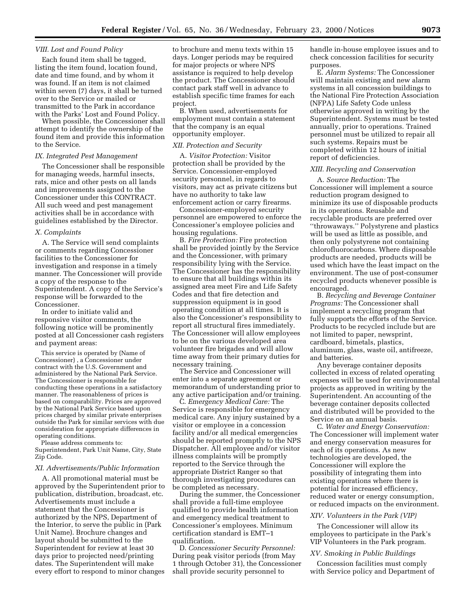# *VIII. Lost and Found Policy*

Each found item shall be tagged, listing the item found, location found, date and time found, and by whom it was found. If an item is not claimed within seven (7) days, it shall be turned over to the Service or mailed or transmitted to the Park in accordance with the Parks' Lost and Found Policy.

When possible, the Concessioner shall attempt to identify the ownership of the found item and provide this information to the Service.

# *IX. Integrated Pest Management*

The Concessioner shall be responsible for managing weeds, harmful insects, rats, mice and other pests on all lands and improvements assigned to the Concessioner under this CONTRACT. All such weed and pest management activities shall be in accordance with guidelines established by the Director.

#### *X. Complaints*

A. The Service will send complaints or comments regarding Concessioner facilities to the Concessioner for investigation and response in a timely manner. The Concessioner will provide a copy of the response to the Superintendent. A copy of the Service's response will be forwarded to the Concessioner.

In order to initiate valid and responsive visitor comments, the following notice will be prominently posted at all Concessioner cash registers and payment areas:

This service is operated by (Name of Concessioner) , a Concessioner under contract with the U.S. Government and administered by the National Park Service. The Concessioner is responsible for conducting these operations in a satisfactory manner. The reasonableness of prices is based on comparability. Prices are approved by the National Park Service based upon prices charged by similar private enterprises outside the Park for similar services with due consideration for appropriate differences in operating conditions.

Please address comments to: Superintendent, Park Unit Name, City, State Zip Code.

#### *XI. Advertisements/Public Information*

A. All promotional material must be approved by the Superintendent prior to publication, distribution, broadcast, etc. Advertisements must include a statement that the Concessioner is authorized by the NPS, Department of the Interior, to serve the public in (Park Unit Name). Brochure changes and layout should be submitted to the Superintendent for review at least 30 days prior to projected need/printing dates. The Superintendent will make every effort to respond to minor changes

to brochure and menu texts within 15 days. Longer periods may be required for major projects or where NPS assistance is required to help develop the product. The Concessioner should contact park staff well in advance to establish specific time frames for each project.

B. When used, advertisements for employment must contain a statement that the company is an equal opportunity employer.

#### *XII. Protection and Security*

A. *Visitor Protection:* Visitor protection shall be provided by the Service. Concessioner-employed security personnel, in regards to visitors, may act as private citizens but have no authority to take law enforcement action or carry firearms.

Concessioner-employed security personnel are empowered to enforce the Concessioner's employee policies and housing regulations.

B. *Fire Protection:* Fire protection shall be provided jointly by the Service and the Concessioner, with primary responsibility lying with the Service. The Concessioner has the responsibility to ensure that all buildings within its assigned area meet Fire and Life Safety Codes and that fire detection and suppression equipment is in good operating condition at all times. It is also the Concessioner's responsibility to report all structural fires immediately. The Concessioner will allow employees to be on the various developed area volunteer fire brigades and will allow time away from their primary duties for necessary training.

The Service and Concessioner will enter into a separate agreement or memorandum of understanding prior to any active participation and/or training.

C. *Emergency Medical Care:* The Service is responsible for emergency medical care. Any injury sustained by a visitor or employee in a concession facility and/or all medical emergencies should be reported promptly to the NPS Dispatcher. All employee and/or visitor illness complaints will be promptly reported to the Service through the appropriate District Ranger so that thorough investigating procedures can be completed as necessary.

During the summer, the Concessioner shall provide a full-time employee qualified to provide health information and emergency medical treatment to Concessioner's employees. Minimum certification standard is EMT–1 qualification.

D. *Concessioner Security Personnel:* During peak visitor periods (from May 1 through October 31), the Concessioner shall provide security personnel to

handle in-house employee issues and to check concession facilities for security purposes.

E. *Alarm Systems:* The Concessioner will maintain existing and new alarm systems in all concession buildings to the National Fire Protection Association (NFPA) Life Safety Code unless otherwise approved in writing by the Superintendent. Systems must be tested annually, prior to operations. Trained personnel must be utilized to repair all such systems. Repairs must be completed within 12 hours of initial report of deficiencies.

# *XIII. Recycling and Conservation*

A. *Source Reduction:* The Concessioner will implement a source reduction program designed to minimize its use of disposable products in its operations. Reusable and recyclable products are preferred over ''throwaways.'' Polystyrene and plastics will be used as little as possible, and then only polystyrene not containing chlorofluorocarbons. Where disposable products are needed, products will be used which have the least impact on the environment. The use of post-consumer recycled products whenever possible is encouraged.

B. *Recycling and Beverage Container Programs:* The Concessioner shall implement a recycling program that fully supports the efforts of the Service. Products to be recycled include but are not limited to paper, newsprint, cardboard, bimetals, plastics, aluminum, glass, waste oil, antifreeze, and batteries.

Any beverage container deposits collected in excess of related operating expenses will be used for environmental projects as approved in writing by the Superintendent. An accounting of the beverage container deposits collected and distributed will be provided to the Service on an annual basis.

C. *Water and Energy Conservation:* The Concessioner will implement water and energy conservation measures for each of its operations. As new technologies are developed, the Concessioner will explore the possibility of integrating them into existing operations where there is potential for increased efficiency, reduced water or energy consumption, or reduced impacts on the environment.

# *XIV. Volunteers in the Park (VIP)*

The Concessioner will allow its employees to participate in the Park's VIP Volunteers in the Park program.

#### *XV. Smoking in Public Buildings*

Concession facilities must comply with Service policy and Department of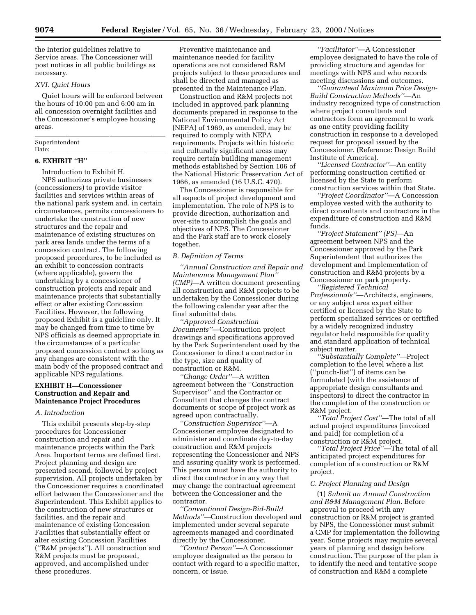the Interior guidelines relative to Service areas. The Concessioner will post notices in all public buildings as necessary.

# *XVI. Quiet Hours*

Quiet hours will be enforced between the hours of 10:00 pm and 6:00 am in all concession overnight facilities and the Concessioner's employee housing areas. lllllllllllllllllllll

#### Superintendent<br>Date: Date: llllllllllllllllll

#### **6. EXHIBIT ''H''**

Introduction to Exhibit H. NPS authorizes private businesses

(concessioners) to provide visitor facilities and services within areas of the national park system and, in certain circumstances, permits concessioners to undertake the construction of new structures and the repair and maintenance of existing structures on park area lands under the terms of a concession contract. The following proposed procedures, to be included as an exhibit to concession contracts (where applicable), govern the undertaking by a concessioner of construction projects and repair and maintenance projects that substantially effect or alter existing Concession Facilities. However, the following proposed Exhibit is a guideline only. It may be changed from time to time by NPS officials as deemed appropriate in the circumstances of a particular proposed concession contract so long as any changes are consistent with the main body of the proposed contract and applicable NPS regulations.

# **EXHIBIT H—Concessioner Construction and Repair and Maintenance Project Procedures**

# *A. Introduction*

This exhibit presents step-by-step procedures for Concessioner construction and repair and maintenance projects within the Park Area. Important terms are defined first. Project planning and design are presented second, followed by project supervision. All projects undertaken by the Concessioner requires a coordinated effort between the Concessioner and the Superintendent. This Exhibit applies to the construction of new structures or facilities, and the repair and maintenance of existing Concession Facilities that substantially effect or alter existing Concession Facilities (''R&M projects''). All construction and R&M projects must be proposed, approved, and accomplished under these procedures.

Preventive maintenance and maintenance needed for facility operations are not considered R&M projects subject to these procedures and shall be directed and managed as presented in the Maintenance Plan.

Construction and R&M projects not included in approved park planning documents prepared in response to the National Environmental Policy Act (NEPA) of 1969, as amended, may be required to comply with NEPA requirements. Projects within historic and culturally significant areas may require certain building management methods established by Section 106 of the National Historic Preservation Act of 1966, as amended (16 U.S.C. 470).

The Concessioner is responsible for all aspects of project development and implementation. The role of NPS is to provide direction, authorization and over-site to accomplish the goals and objectives of NPS. The Concessioner and the Park staff are to work closely together.

# *B. Definition of Terms*

*''Annual Construction and Repair and Maintenance Management Plan'' (CMP)*—A written document presenting all construction and R&M projects to be undertaken by the Concessioner during the following calendar year after the final submittal date.

*''Approved Construction Documents''*—Construction project drawings and specifications approved by the Park Superintendent used by the Concessioner to direct a contractor in the type, size and quality of construction or R&M.

*''Change Order''*—A written agreement between the ''Construction Supervisor'' and the Contractor or Consultant that changes the contract documents or scope of project work as agreed upon contractually.

*''Construction Supervisor''*—A Concessioner employee designated to administer and coordinate day-to-day construction and R&M projects representing the Concessioner and NPS and assuring quality work is performed. This person must have the authority to direct the contractor in any way that may change the contractual agreement between the Concessioner and the contractor.

*''Conventional Design-Bid-Build Methods''*—Construction developed and implemented under several separate agreements managed and coordinated directly by the Concessioner.

*''Contact Person''*—A Concessioner employee designated as the person to contact with regard to a specific matter, concern, or issue.

*''Facilitator''*—A Concessioner employee designated to have the role of providing structure and agendas for meetings with NPS and who records meeting discussions and outcomes.

*''Guaranteed Maximum Price Design-Build Construction Methods''*—An industry recognized type of construction where project consultants and contractors form an agreement to work as one entity providing facility construction in response to a developed request for proposal issued by the Concessioner. (Reference: Design Build Institute of America).

*''Licensed Contractor''*—An entity performing construction certified or licensed by the State to perform construction services within that State.

*''Project Coordinator''*—A Concession employee vested with the authority to direct consultants and contractors in the expenditure of construction and R&M funds.

*''Project Statement'' (PS)*—An agreement between NPS and the Concessioner approved by the Park Superintendent that authorizes the development and implementation of construction and R&M projects by a Concessioner on park property. *''Registered Technical*

*Professionals''*—Architects, engineers, or any subject area expert either certified or licensed by the State to perform specialized services or certified by a widely recognized industry regulator held responsible for quality and standard application of technical subject matter.

*''Substantially Complete''*—Project completion to the level where a list (''punch-list'') of items can be formulated (with the assistance of appropriate design consultants and inspectors) to direct the contractor in the completion of the construction or R&M project.

*''Total Project Cost''*—The total of all actual project expenditures (invoiced and paid) for completion of a construction or R&M project.

*''Total Project Price''*—The total of all anticipated project expenditures for completion of a construction or R&M project.

#### *C. Project Planning and Design*

(1) *Submit an Annual Construction and R&M Management Plan.* Before approval to proceed with any construction or R&M project is granted by NPS, the Concessioner must submit a CMP for implementation the following year. Some projects may require several years of planning and design before construction. The purpose of the plan is to identify the need and tentative scope of construction and R&M a complete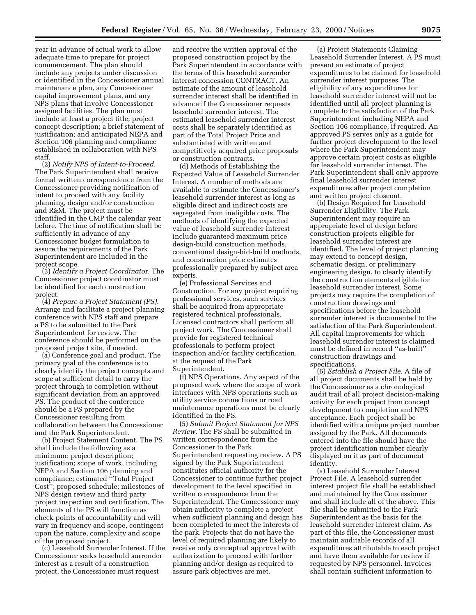year in advance of actual work to allow adequate time to prepare for project commencement. The plan should include any projects under discussion or identified in the Concessioner annual maintenance plan, any Concessioner capital improvement plans, and any NPS plans that involve Concessioner assigned facilities. The plan must include at least a project title; project concept description; a brief statement of justification; and anticipated NEPA and Section 106 planning and compliance established in collaboration with NPS staff.

(2) *Notify NPS of Intent-to-Proceed.* The Park Superintendent shall receive formal written correspondence from the Concessioner providing notification of intent to proceed with any facility planning, design and/or construction and R&M. The project must be identified in the CMP the calendar year before. The time of notification shall be sufficiently in advance of any Concessioner budget formulation to assure the requirements of the Park Superintendent are included in the project scope.

(3) *Identify a Project Coordinator.* The Concessioner project coordinator must be identified for each construction project.

(4) *Prepare a Project Statement (PS).* Arrange and facilitate a project planning conference with NPS staff and prepare a PS to be submitted to the Park Superintendent for review. The conference should be performed on the proposed project site, if needed.

(a) Conference goal and product. The primary goal of the conference is to clearly identify the project concepts and scope at sufficient detail to carry the project through to completion without significant deviation from an approved PS. The product of the conference should be a PS prepared by the Concessioner resulting from collaboration between the Concessioner and the Park Superintendent.

(b) Project Statement Content. The PS shall include the following as a minimum: project description; justification; scope of work, including NEPA and Section 106 planning and compliance; estimated ''Total Project Cost''; proposed schedule; milestones of NPS design review and third party project inspection and certification. The elements of the PS will function as check points of accountability and will vary in frequency and scope, contingent upon the nature, complexity and scope of the proposed project.

(c) Leasehold Surrender Interest. If the Concessioner seeks leasehold surrender interest as a result of a construction project, the Concessioner must request

and receive the written approval of the proposed construction project by the Park Superintendent in accordance with the terms of this leasehold surrender interest concession CONTRACT. An estimate of the amount of leasehold surrender interest shall be identified in advance if the Concessioner requests leasehold surrender interest. The estimated leasehold surrender interest costs shall be separately identified as part of the Total Project Price and substantiated with written and competitively acquired price proposals or construction contracts.

(d) Methods of Establishing the Expected Value of Leasehold Surrender Interest. A number of methods are available to estimate the Concessioner's leasehold surrender interest as long as eligible direct and indirect costs are segregated from ineligible costs. The methods of identifying the expected value of leasehold surrender interest include guaranteed maximum price design-build construction methods, conventional design-bid-build methods, and construction price estimates professionally prepared by subject area experts.

(e) Professional Services and Construction. For any project requiring professional services, such services shall be acquired from appropriate registered technical professionals. Licensed contractors shall perform all project work. The Concessioner shall provide for registered technical professionals to perform project inspection and/or facility certification, at the request of the Park Superintendent.

(f) NPS Operations. Any aspect of the proposed work where the scope of work interfaces with NPS operations such as utility service connections or road maintenance operations must be clearly identified in the PS.

(5) *Submit Project Statement for NPS Review.* The PS shall be submitted in written correspondence from the Concessioner to the Park Superintendent requesting review. A PS signed by the Park Superintendent constitutes official authority for the Concessioner to continue further project development to the level specified in written correspondence from the Superintendent. The Concessioner may obtain authority to complete a project when sufficient planning and design has been completed to meet the interests of the park. Projects that do not have the level of required planning are likely to receive only conceptual approval with authorization to proceed with further planning and/or design as required to assure park objectives are met.

(a) Project Statements Claiming Leasehold Surrender Interest. A PS must present an estimate of project expenditures to be claimed for leasehold surrender interest purposes. The eligibility of any expenditures for leasehold surrender interest will not be identified until all project planning is complete to the satisfaction of the Park Superintendent including NEPA and Section 106 compliance, if required. An approved PS serves only as a guide for further project development to the level where the Park Superintendent may approve certain project costs as eligible for leasehold surrender interest. The Park Superintendent shall only approve final leasehold surrender interest expenditures after project completion and written project closeout.

(b) Design Required for Leasehold Surrender Eligibility. The Park Superintendent may require an appropriate level of design before construction projects eligible for leasehold surrender interest are identified. The level of project planning may extend to concept design, schematic design, or preliminary engineering design, to clearly identify the construction elements eligible for leasehold surrender interest. Some projects may require the completion of construction drawings and specifications before the leasehold surrender interest is documented to the satisfaction of the Park Superintendent. All capital improvements for which leasehold surrender interest is claimed must be defined in record ''as-built'' construction drawings and specifications.

(6) *Establish a Project File.* A file of all project documents shall be held by the Concessioner as a chronological audit trail of all project decision-making activity for each project from concept development to completion and NPS acceptance. Each project shall be identified with a unique project number assigned by the Park. All documents entered into the file should have the project identification number clearly displayed on it as part of document identity.

(a) Leasehold Surrender Interest Project File. A leasehold surrender interest project file shall be established and maintained by the Concessioner and shall include all of the above. This file shall be submitted to the Park Superintendent as the basis for the leasehold surrender interest claim. As part of this file, the Concessioner must maintain auditable records of all expenditures attributable to each project and have them available for review if requested by NPS personnel. Invoices shall contain sufficient information to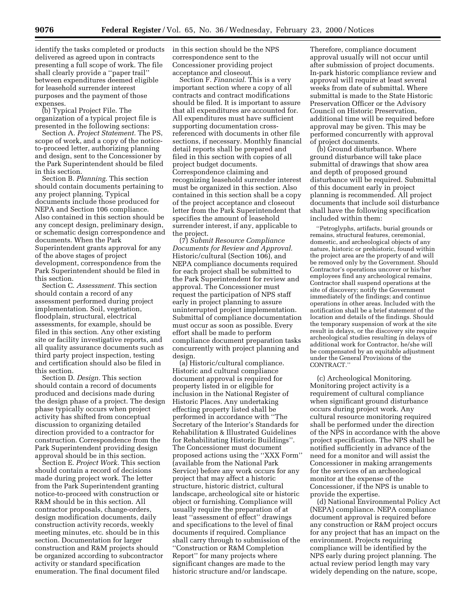identify the tasks completed or products delivered as agreed upon in contracts presenting a full scope of work. The file shall clearly provide a ''paper trail'' between expenditures deemed eligible for leasehold surrender interest purposes and the payment of those expenses.

(b) Typical Project File. The organization of a typical project file is presented in the following sections:

Section A. *Project Statement.* The PS, scope of work, and a copy of the noticeto-proceed letter, authorizing planning and design, sent to the Concessioner by the Park Superintendent should be filed in this section.

Section B. *Planning.* This section should contain documents pertaining to any project planning. Typical documents include those produced for NEPA and Section 106 compliance. Also contained in this section should be any concept design, preliminary design, or schematic design correspondence and documents. When the Park Superintendent grants approval for any of the above stages of project development, correspondence from the Park Superintendent should be filed in this section.

Section C. *Assessment.* This section should contain a record of any assessment performed during project implementation. Soil, vegetation, floodplain, structural, electrical assessments, for example, should be filed in this section. Any other existing site or facility investigative reports, and all quality assurance documents such as third party project inspection, testing and certification should also be filed in this section.

Section D. *Design.* This section should contain a record of documents produced and decisions made during the design phase of a project. The design phase typically occurs when project activity has shifted from conceptual discussion to organizing detailed direction provided to a contractor for construction. Correspondence from the Park Superintendent providing design approval should be in this section.

Section E. *Project Work.* This section should contain a record of decisions made during project work. The letter from the Park Superintendent granting notice-to-proceed with construction or R&M should be in this section. All contractor proposals, change-orders, design modification documents, daily construction activity records, weekly meeting minutes, etc. should be in this section. Documentation for larger construction and R&M projects should be organized according to subcontractor activity or standard specification enumeration. The final document filed

in this section should be the NPS correspondence sent to the Concessioner providing project acceptance and closeout.

Section F. *Financial.* This is a very important section where a copy of all contracts and contract modifications should be filed. It is important to assure that all expenditures are accounted for. All expenditures must have sufficient supporting documentation crossreferenced with documents in other file sections, if necessary. Monthly financial detail reports shall be prepared and filed in this section with copies of all project budget documents. Correspondence claiming and recognizing leasehold surrender interest must be organized in this section. Also contained in this section shall be a copy of the project acceptance and closeout letter from the Park Superintendent that specifies the amount of leasehold surrender interest, if any, applicable to the project.

(7) *Submit Resource Compliance Documents for Review and Approval.* Historic/cultural (Section 106), and NEPA compliance documents required for each project shall be submitted to the Park Superintendent for review and approval. The Concessioner must request the participation of NPS staff early in project planning to assure uninterrupted project implementation. Submittal of compliance documentation must occur as soon as possible. Every effort shall be made to perform compliance document preparation tasks concurrently with project planning and design.

(a) Historic/cultural compliance. Historic and cultural compliance document approval is required for property listed in or eligible for inclusion in the National Register of Historic Places. Any undertaking effecting property listed shall be performed in accordance with ''The Secretary of the Interior's Standards for Rehabilitation & Illustrated Guidelines for Rehabilitating Historic Buildings''. The Concessioner must document proposed actions using the ''XXX Form'' (available from the National Park Service) before any work occurs for any project that may affect a historic structure, historic district, cultural landscape, archeological site or historic object or furnishing. Compliance will usually require the preparation of at least ''assessment of effect'' drawings and specifications to the level of final documents if required. Compliance shall carry through to submission of the ''Construction or R&M Completion Report'' for many projects where significant changes are made to the historic structure and/or landscape.

Therefore, compliance document approval usually will not occur until after submission of project documents. In-park historic compliance review and approval will require at least several weeks from date of submittal. Where submittal is made to the State Historic Preservation Officer or the Advisory Council on Historic Preservation, additional time will be required before approval may be given. This may be performed concurrently with approval of project documents.

(b) Ground disturbance. Where ground disturbance will take place submittal of drawings that show area and depth of proposed ground disturbance will be required. Submittal of this document early in project planning is recommended. All project documents that include soil disturbance shall have the following specification included within them:

''Petroglyphs, artifacts, burial grounds or remains, structural features, ceremonial, domestic, and archeological objects of any nature, historic or prehistoric, found within the project area are the property of and will be removed only by the Government. Should Contractor's operations uncover or his/her employees find any archeological remains, Contractor shall suspend operations at the site of discovery; notify the Government immediately of the findings; and continue operations in other areas. Included with the notification shall be a brief statement of the location and details of the findings. Should the temporary suspension of work at the site result in delays, or the discovery site require archeological studies resulting in delays of additional work for Contractor, he/she will be compensated by an equitable adjustment under the General Provisions of the CONTRACT.''

(c) Archeological Monitoring. Monitoring project activity is a requirement of cultural compliance when significant ground disturbance occurs during project work. Any cultural resource monitoring required shall be performed under the direction of the NPS in accordance with the above project specification. The NPS shall be notified sufficiently in advance of the need for a monitor and will assist the Concessioner in making arrangements for the services of an archeological monitor at the expense of the Concessioner, if the NPS is unable to provide the expertise.

(d) National Environmental Policy Act (NEPA) compliance. NEPA compliance document approval is required before any construction or R&M project occurs for any project that has an impact on the environment. Projects requiring compliance will be identified by the NPS early during project planning. The actual review period length may vary widely depending on the nature, scope,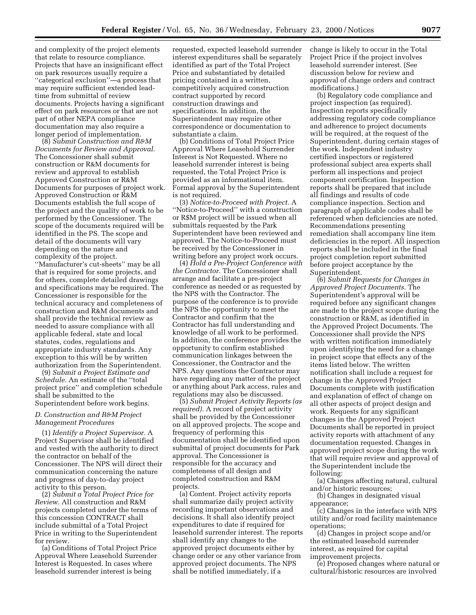and complexity of the project elements that relate to resource compliance. Projects that have an insignificant effect on park resources usually require a ''categorical exclusion''—a process that may require sufficient extended leadtime from submittal of review documents. Projects having a significant effect on park resources or that are not part of other NEPA compliance documentation may also require a longer period of implementation.

(8) *Submit Construction and R&M Documents for Review and Approval.* The Concessioner shall submit construction or R&M documents for review and approval to establish Approved Construction or R&M Documents for purposes of project work. Approved Construction or R&M Documents establish the full scope of the project and the quality of work to be performed by the Concessioner. The scope of the documents required will be identified in the PS. The scope and detail of the documents will vary depending on the nature and complexity of the project.

''Manufacturer's cut-sheets'' may be all that is required for some projects, and for others, complete detailed drawings and specifications may be required. The Concessioner is responsible for the technical accuracy and completeness of construction and R&M documents and shall provide the technical review as needed to assure compliance with all applicable federal, state and local statutes, codes, regulations and appropriate industry standards. Any exception to this will be by written authorization from the Superintendent.

(9) *Submit a Project Estimate and Schedule.* An estimate of the ''total project price'' and completion schedule shall be submitted to the Superintendent before work begins.

# *D. Construction and R&M Project Management Procedures*

(1) *Identify a Project Supervisor.* A Project Supervisor shall be identified and vested with the authority to direct the contractor on behalf of the Concessioner. The NPS will direct their communication concerning the nature and progress of day-to-day project activity to this person.

(2) *Submit a Total Project Price for Review.* All construction and R&M projects completed under the terms of this concession CONTRACT shall include submittal of a Total Project Price in writing to the Superintendent for review.

(a) Conditions of Total Project Price Approval Where Leasehold Surrender Interest is Requested. In cases where leasehold surrender interest is being

requested, expected leasehold surrender interest expenditures shall be separately identified as part of the Total Project Price and substantiated by detailed pricing contained in a written, competitively acquired construction contract supported by record construction drawings and specifications. In addition, the Superintendent may require other correspondence or documentation to substantiate a claim.

(b) Conditions of Total Project Price Approval Where Leasehold Surrender Interest is Not Requested. Where no leasehold surrender interest is being requested, the Total Project Price is provided as an informational item. Formal approval by the Superintendent is not required.

(3) *Notice-to-Proceed with Project.* A ''Notice-to-Proceed'' with a construction or R\$M project will be issued when all submittals requested by the Park Superintendent have been reviewed and approved. The Notice-to-Proceed must be received by the Concessioner in writing before any project work occurs.

(4) *Hold a Pre-Project Conference with the Contractor.* The Concessioner shall arrange and facilitate a pre-project conference as needed or as requested by the NPS with the Contractor. The purpose of the conference is to provide the NPS the opportunity to meet the Contractor and confirm that the Contractor has full understanding and knowledge of all work to be performed. In addition, the conference provides the opportunity to confirm established communication linkages between the Concessioner, the Contractor and the NPS. Any questions the Contractor may have regarding any matter of the project or anything about Park access, rules and regulations may also be discussed.

(5) *Submit Project Activity Reports (as required).* A record of project activity shall be provided by the Concessioner on all approved projects. The scope and frequency of performing this documentation shall be identified upon submittal of project documents for Park approval. The Concessioner is responsible for the accuracy and completeness of all design and completed construction and R&M projects.

(a) Content. Project activity reports shall summarize daily project activity recording important observations and decisions. It shall also identify project expenditures to date if required for leasehold surrender interest. The reports shall identify any changes to the approved project documents either by change order or any other variance from approved project documents. The NPS shall be notified immediately, if a

change is likely to occur in the Total Project Price if the project involves leasehold surrender interest. (See discussion below for review and approval of change orders and contract modifications.)

(b) Regulatory code compliance and project inspection (as required). Inspection reports specifically addressing regulatory code compliance and adherence to project documents will be required, at the request of the Superintendent, during certain stages of the work. Independent industry certified inspectors or registered professional subject area experts shall perform all inspections and project component certification. Inspection reports shall be prepared that include all findings and results of code compliance inspection. Section and paragraph of applicable codes shall be referenced when deficiencies are noted. Recommendations presenting remediation shall accompany line item deficiencies in the report. All inspection reports shall be included in the final project completion report submitted before project acceptance by the Superintendent.

(6) *Submit Requests for Changes in Approved Project Documents.* The Superintendent's approval will be required before any significant changes are made to the project scope during the construction or R&M, as identified in the Approved Project Documents. The Concessioner shall provide the NPS with written notification immediately upon identifying the need for a change in project scope that effects any of the items listed below. The written notification shall include a request for change in the Approved Project Documents complete with justification and explanation of effect of change on all other aspects of project design and work. Requests for any significant changes in the Approved Project Documents shall be reported in project activity reports with attachment of any documentation requested. Changes in approved project scope during the work that will require review and approval of the Superintendent include the following:

(a) Changes affecting natural, cultural and/or historic resources;

(b) Changes in designated visual appearance;

(c) Changes in the interface with NPS utility and/or road facility maintenance operations;

(d) Changes in project scope and/or the estimated leasehold surrender interest, as required for capital improvement projects.

(e) Proposed changes where natural or cultural/historic resources are involved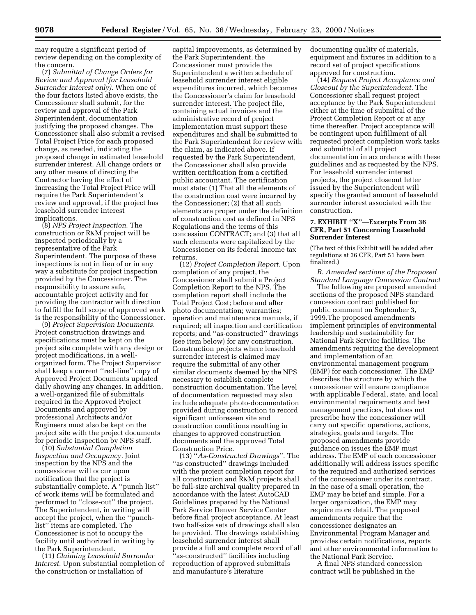may require a significant period of review depending on the complexity of the concern.

(7) *Submittal of Change Orders for Review and Approval (for Leasehold Surrender Interest only).* When one of the four factors listed above exists, the Concessioner shall submit, for the review and approval of the Park Superintendent, documentation justifying the proposed changes. The Concessioner shall also submit a revised Total Project Price for each proposed change, as needed, indicating the proposed change in estimated leasehold surrender interest. All change orders or any other means of directing the Contractor having the effect of increasing the Total Project Price will require the Park Superintendent's review and approval, if the project has leasehold surrender interest implications.

(8) *NPS Project Inspection.* The construction or R&M project will be inspected periodically by a representative of the Park Superintendent. The purpose of these inspections is not in lieu of or in any way a substitute for project inspection provided by the Concessioner. The responsibility to assure safe, accountable project activity and for providing the contractor with direction to fulfill the full scope of approved work is the responsibility of the Concessioner.

(9) *Project Supervision Documents.* Project construction drawings and specifications must be kept on the project site complete with any design or project modifications, in a wellorganized form. The Project Supervisor shall keep a current ''red-line'' copy of Approved Project Documents updated daily showing any changes. In addition, a well-organized file of submittals required in the Approved Project Documents and approved by professional Architects and/or Engineers must also be kept on the project site with the project documents for periodic inspection by NPS staff.

(10) *Substantial Completion Inspection and Occupancy.* Joint inspection by the NPS and the concessioner will occur upon notification that the project is substantially complete. A ''punch list'' of work items will be formulated and performed to ''close-out'' the project. The Superintendent, in writing will accept the project, when the ''punchlist'' items are completed. The Concessioner is not to occupy the facility until authorized in writing by the Park Superintendent.

(11) *Claiming Leasehold Surrender Interest.* Upon substantial completion of the construction or installation of

capital improvements, as determined by the Park Superintendent, the Concessioner must provide the Superintendent a written schedule of leasehold surrender interest eligible expenditures incurred, which becomes the Concessioner's claim for leasehold surrender interest. The project file, containing actual invoices and the administrative record of project implementation must support these expenditures and shall be submitted to the Park Superintendent for review with the claim, as indicated above. If requested by the Park Superintendent, the Concessioner shall also provide written certification from a certified public accountant. The certification must state: (1) That all the elements of the construction cost were incurred by the Concessioner; (2) that all such elements are proper under the definition of construction cost as defined in NPS Regulations and the terms of this concession CONTRACT; and (3) that all such elements were capitalized by the Concessioner on its federal income tax returns.

(12) *Project Completion Report.* Upon completion of any project, the Concessioner shall submit a Project Completion Report to the NPS. The completion report shall include the Total Project Cost; before and after photo documentation; warranties; operation and maintenance manuals, if required; all inspection and certification reports; and ''as-constructed'' drawings (see item below) for any construction. Construction projects where leasehold surrender interest is claimed may require the submittal of any other similar documents deemed by the NPS necessary to establish complete construction documentation. The level of documentation requested may also include adequate photo-documentation provided during construction to record significant unforeseen site and construction conditions resulting in changes to approved construction documents and the approved Total Construction Price.

(13) ''*As-Constructed Drawings*''. The ''as constructed'' drawings included with the project completion report for all construction and R&M projects shall be full-size archival quality prepared in accordance with the latest AutoCAD Guidelines prepared by the National Park Service Denver Service Center before final project acceptance. At least two half-size sets of drawings shall also be provided. The drawings establishing leasehold surrender interest shall provide a full and complete record of all 'as-constructed'' facilities including reproduction of approved submittals and manufacture's literature

documenting quality of materials, equipment and fixtures in addition to a record set of project specifications approved for construction.

(14) *Request Project Acceptance and Closeout by the Superintendent.* The Concessioner shall request project acceptance by the Park Superintendent either at the time of submittal of the Project Completion Report or at any time thereafter. Project acceptance will be contingent upon fulfillment of all requested project completion work tasks and submittal of all project documentation in accordance with these guidelines and as requested by the NPS. For leasehold surrender interest projects, the project closeout letter issued by the Superintendent will specify the granted amount of leasehold surrender interest associated with the construction.

# **7. EXHIBIT ''X''—Excerpts From 36 CFR, Part 51 Concerning Leasehold Surrender Interest**

(The text of this Exhibit will be added after regulations at 36 CFR, Part 51 have been finalized.)

*B. Amended sections of the Proposed Standard Language Concession Contract*

The following are proposed amended sections of the proposed NPS standard concession contract published for public comment on September 3, 1999.The proposed amendments implement principles of environmental leadership and sustainability for National Park Service facilities. The amendments requiring the development and implementation of an environmental management program (EMP) for each concessioner. The EMP describes the structure by which the concessioner will ensure compliance with applicable Federal, state, and local environmental requirements and best management practices, but does not prescribe how the concessioner will carry out specific operations, actions, strategies, goals and targets. The proposed amendments provide guidance on issues the EMP must address. The EMP of each concessioner additionally will address issues specific to the required and authorized services of the concessioner under its contract. In the case of a small operation, the EMP may be brief and simple. For a larger organization, the EMP may require more detail. The proposed amendments require that the concessioner designates an Environmental Program Manager and provides certain notifications, reports and other environmental information to the National Park Service.

A final NPS standard concession contract will be published in the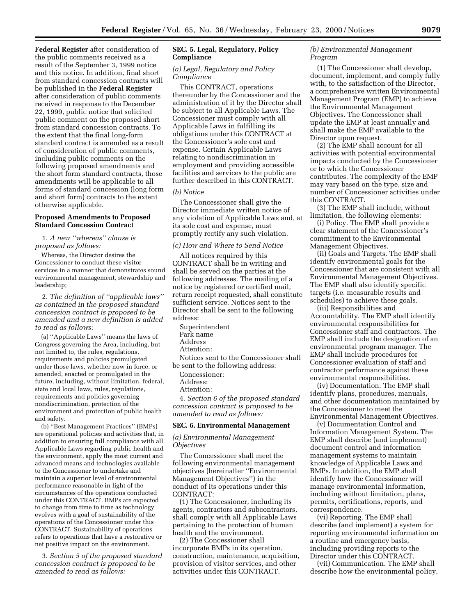**Federal Register** after consideration of the public comments received as a result of the September 3, 1999 notice and this notice. In addition, final short from standard concession contracts will be published in the **Federal Register** after consideration of public comments received in response to the December 22, 1999, public notice that solicited public comment on the proposed short from standard concession contracts. To the extent that the final long-form standard contract is amended as a result of consideration of public comments, including public comments on the following proposed amendments and the short form standard contracts, those amendments will be applicable to all forms of standard concession (long form and short form) contracts to the extent otherwise applicable.

# **Proposed Amendments to Proposed Standard Concession Contract**

1. *A new ''whereas'' clause is proposed as follows:*

Whereas, the Director desires the Concessioner to conduct these visitor services in a manner that demonstrates sound environmental management, stewardship and leadership;

2. *The definition of ''applicable laws'' as contained in the proposed standard concession contract is proposed to be amended and a new definition is added to read as follows:*

(a) ''Applicable Laws'' means the laws of Congress governing the Area, including, but not limited to, the rules, regulations, requirements and policies promulgated under those laws, whether now in force, or amended, enacted or promulgated in the future, including, without limitation, federal, state and local laws, rules, regulations, requirements and policies governing nondiscrimination, protection of the environment and protection of public health and safety.

(b) ''Best Management Practices'' (BMPs) are operational policies and activities that, in addition to ensuring full compliance with all Applicable Laws regarding public health and the environment, apply the most current and advanced means and technologies available to the Concessioner to undertake and maintain a superior level of environmental performance reasonable in light of the circumstances of the operations conducted under this CONTRACT. BMPs are expected to change from time to time as technology evolves with a goal of sustainability of the operations of the Concessioner under this CONTRACT. Sustainability of operations refers to operations that have a restorative or net positive impact on the environment.

3. *Section 5 of the proposed standard concession contract is proposed to be amended to read as follows:*

# **SEC. 5. Legal, Regulatory, Policy Compliance**

#### *(a) Legal, Regulatory and Policy Compliance*

This CONTRACT, operations thereunder by the Concessioner and the administration of it by the Director shall be subject to all Applicable Laws. The Concessioner must comply with all Applicable Laws in fulfilling its obligations under this CONTRACT at the Concessioner's sole cost and expense. Certain Applicable Laws relating to nondiscrimination in employment and providing accessible facilities and services to the public are further described in this CONTRACT.

#### *(b) Notice*

The Concessioner shall give the Director immediate written notice of any violation of Applicable Laws and, at its sole cost and expense, must promptly rectify any such violation.

#### *(c) How and Where to Send Notice*

All notices required by this CONTRACT shall be in writing and shall be served on the parties at the following addresses. The mailing of a notice by registered or certified mail, return receipt requested, shall constitute sufficient service. Notices sent to the Director shall be sent to the following address:

Superintendent Park name Address Attention:

Notices sent to the Concessioner shall be sent to the following address:

Concessioner:

Address:

Attention:

4. *Section 6 of the proposed standard concession contract is proposed to be amended to read as follows:*

# **SEC. 6. Environmental Management**

#### *(a) Environmental Management Objectives*

The Concessioner shall meet the following environmental management objectives (hereinafter ''Environmental Management Objectives'') in the conduct of its operations under this CONTRACT:

(1) The Concessioner, including its agents, contractors and subcontractors, shall comply with all Applicable Laws pertaining to the protection of human health and the environment.

(2) The Concessioner shall incorporate BMPs in its operation, construction, maintenance, acquisition, provision of visitor services, and other activities under this CONTRACT.

# *(b) Environmental Management Program*

(1) The Concessioner shall develop, document, implement, and comply fully with, to the satisfaction of the Director, a comprehensive written Environmental Management Program (EMP) to achieve the Environmental Management Objectives. The Concessioner shall update the EMP at least annually and shall make the EMP available to the Director upon request.

(2) The EMP shall account for all activities with potential environmental impacts conducted by the Concessioner or to which the Concessioner contributes. The complexity of the EMP may vary based on the type, size and number of Concessioner activities under this CONTRACT.

(3) The EMP shall include, without limitation, the following elements:

(i) Policy. The EMP shall provide a clear statement of the Concessioner's commitment to the Environmental Management Objectives.

(ii) Goals and Targets. The EMP shall identify environmental goals for the Concessioner that are consistent with all Environmental Management Objectives. The EMP shall also identify specific targets (i.e. measurable results and schedules) to achieve these goals.

(iii) Responsibilities and Accountability. The EMP shall identify environmental responsibilities for Concessioner staff and contractors. The EMP shall include the designation of an environmental program manager. The EMP shall include procedures for Concessioner evaluation of staff and contractor performance against these environmental responsibilities.

(iv) Documentation. The EMP shall identify plans, procedures, manuals, and other documentation maintained by the Concessioner to meet the Environmental Management Objectives.

(v) Documentation Control and Information Management System. The EMP shall describe (and implement) document control and information management systems to maintain knowledge of Applicable Laws and BMPs. In addition, the EMP shall identify how the Concessioner will manage environmental information, including without limitation, plans, permits, certifications, reports, and correspondence.

(vi) Reporting. The EMP shall describe (and implement) a system for reporting environmental information on a routine and emergency basis, including providing reports to the Director under this CONTRACT.

(vii) Communication. The EMP shall describe how the environmental policy,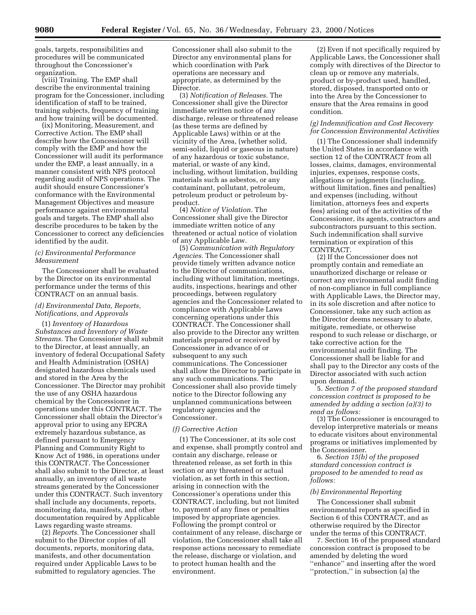goals, targets, responsibilities and procedures will be communicated throughout the Concessioner's organization.

(viii) Training. The EMP shall describe the environmental training program for the Concessioner, including identification of staff to be trained, training subjects, frequency of training and how training will be documented.

(ix) Monitoring, Measurement, and Corrective Action. The EMP shall describe how the Concessioner will comply with the EMP and how the Concessioner will audit its performance under the EMP, a least annually, in a manner consistent with NPS protocol regarding audit of NPS operations. The audit should ensure Concessioner's conformance with the Environmental Management Objectives and measure performance against environmental goals and targets. The EMP shall also describe procedures to be taken by the Concessioner to correct any deficiencies identified by the audit.

# *(c) Environmental Performance Measurement*

The Concessioner shall be evaluated by the Director on its environmental performance under the terms of this CONTRACT on an annual basis.

# *(d) Environmental Data, Reports, Notifications, and Approvals*

(1) *Inventory of Hazardous Substances and Inventory of Waste Streams.* The Concessioner shall submit to the Director, at least annually, an inventory of federal Occupational Safety and Health Administration (OSHA) designated hazardous chemicals used and stored in the Area by the Concessioner. The Director may prohibit the use of any OSHA hazardous chemical by the Concessioner in operations under this CONTRACT. The Concessioner shall obtain the Director's approval prior to using any EPCRA extremely hazardous substance, as defined pursuant to Emergency Planning and Community Right to Know Act of 1986, in operations under this CONTRACT. The Concessioner shall also submit to the Director, at least annually, an inventory of all waste streams generated by the Concessioner under this CONTRACT. Such inventory shall include any documents, reports, monitoring data, manifests, and other documentation required by Applicable Laws regarding waste streams.

(2) *Reports.* The Concessioner shall submit to the Director copies of all documents, reports, monitoring data, manifests, and other documentation required under Applicable Laws to be submitted to regulatory agencies. The Concessioner shall also submit to the Director any environmental plans for which coordination with Park operations are necessary and appropriate, as determined by the Director.

(3) *Notification of Releases.* The Concessioner shall give the Director immediate written notice of any discharge, release or threatened release (as these terms are defined by Applicable Laws) within or at the vicinity of the Area, (whether solid, semi-solid, liquid or gaseous in nature) of any hazardous or toxic substance, material, or waste of any kind, including, without limitation, building materials such as asbestos, or any contaminant, pollutant, petroleum, petroleum product or petroleum byproduct.

(4) *Notice of Violation.* The Concessioner shall give the Director immediate written notice of any threatened or actual notice of violation of any Applicable Law.

(5) *Communication with Regulatory Agencies.* The Concessioner shall provide timely written advance notice to the Director of communications, including without limitation, meetings, audits, inspections, hearings and other proceedings, between regulatory agencies and the Concessioner related to compliance with Applicable Laws concerning operations under this CONTRACT. The Concessioner shall also provide to the Director any written materials prepared or received by Concessioner in advance of or subsequent to any such communications. The Concessioner shall allow the Director to participate in any such communications. The Concessioner shall also provide timely notice to the Director following any unplanned communications between regulatory agencies and the Concessioner.

#### *(f) Corrective Action*

(1) The Concessioner, at its sole cost and expense, shall promptly control and contain any discharge, release or threatened release, as set forth in this section or any threatened or actual violation, as set forth in this section, arising in connection with the Concessioner's operations under this CONTRACT, including, but not limited to, payment of any fines or penalties imposed by appropriate agencies. Following the prompt control or containment of any release, discharge or violation, the Concessioner shall take all response actions necessary to remediate the release, discharge or violation, and to protect human health and the environment.

(2) Even if not specifically required by Applicable Laws, the Concessioner shall comply with directives of the Director to clean up or remove any materials, product or by-product used, handled, stored, disposed, transported onto or into the Area by the Concessioner to ensure that the Area remains in good condition.

# *(g) Indemnification and Cost Recovery for Concession Environmental Activities*

(1) The Concessioner shall indemnify the United States in accordance with section 12 of the CONTRACT from all losses, claims, damages, environmental injuries, expenses, response costs, allegations or judgments (including, without limitation, fines and penalties) and expenses (including, without limitation, attorneys fees and experts fees) arising out of the activities of the Concessioner, its agents, contractors and subcontractors pursuant to this section. Such indemnification shall survive termination or expiration of this CONTRACT.

(2) If the Concessioner does not promptly contain and remediate an unauthorized discharge or release or correct any environmental audit finding of non-compliance in full compliance with Applicable Laws, the Director may, in its sole discretion and after notice to Concessioner, take any such action as the Director deems necessary to abate, mitigate, remediate, or otherwise respond to such release or discharge, or take corrective action for the environmental audit finding. The Concessioner shall be liable for and shall pay to the Director any costs of the Director associated with such action upon demand.

5. *Section 7 of the proposed standard concession contract is proposed to be amended by adding a section (a)(3) to read as follows:*

(3) The Concessioner is encouraged to develop interpretive materials or means to educate visitors about environmental programs or initiatives implemented by the Concessioner.

6. *Section 15(b) of the proposed standard concession contract is proposed to be amended to read as follows:*

#### *(b) Environmental Reporting*

The Concessioner shall submit environmental reports as specified in Section 6 of this CONTRACT, and as otherwise required by the Director under the terms of this CONTRACT.

7. Section 16 of the proposed standard concession contract is proposed to be amended by deleting the word ''enhance'' and inserting after the word ''protection,'' in subsection (a) the